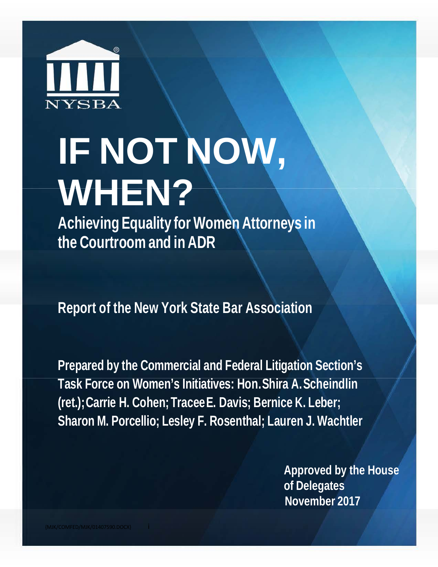

# **IF NOT NOW, WHEN?**

**Achieving Equality for Women Attorneys in the Courtroom and in ADR**

**Report of the New York State Bar Association**

**Prepared by the Commercial and Federal Litigation Section's Task Force on Women's Initiatives: Hon.Shira A.Scheindlin (ret.);Carrie H. Cohen; TraceeE. Davis; Bernice K. Leber; Sharon M. Porcellio; Lesley F. Rosenthal; Lauren J. Wachtler**

> **Approved by the House of Delegates November 2017**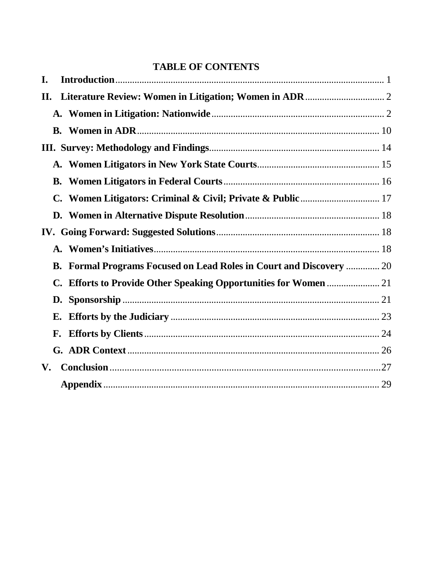# **TABLE OF CONTENTS**

| I.                                                                         |  |
|----------------------------------------------------------------------------|--|
| П.                                                                         |  |
|                                                                            |  |
|                                                                            |  |
|                                                                            |  |
|                                                                            |  |
|                                                                            |  |
|                                                                            |  |
|                                                                            |  |
|                                                                            |  |
|                                                                            |  |
| <b>B. Formal Programs Focused on Lead Roles in Court and Discovery  20</b> |  |
|                                                                            |  |
|                                                                            |  |
|                                                                            |  |
|                                                                            |  |
|                                                                            |  |
| V.                                                                         |  |
|                                                                            |  |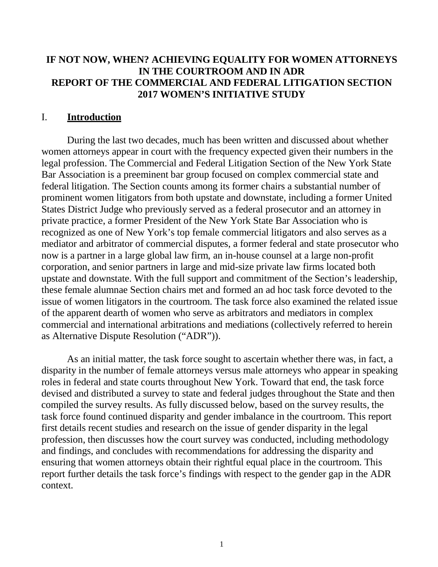#### **IF NOT NOW, WHEN? ACHIEVING EQUALITY FOR WOMEN ATTORNEYS IN THE COURTROOM AND IN ADR REPORT OF THE COMMERCIAL AND FEDERAL LITIGATION SECTION 2017 WOMEN'S INITIATIVE STUDY**

#### <span id="page-2-0"></span>I. **Introduction**

During the last two decades, much has been written and discussed about whether women attorneys appear in court with the frequency expected given their numbers in the legal profession. The Commercial and Federal Litigation Section of the New York State Bar Association is a preeminent bar group focused on complex commercial state and federal litigation. The Section counts among its former chairs a substantial number of prominent women litigators from both upstate and downstate, including a former United States District Judge who previously served as a federal prosecutor and an attorney in private practice, a former President of the New York State Bar Association who is recognized as one of New York's top female commercial litigators and also serves as a mediator and arbitrator of commercial disputes, a former federal and state prosecutor who now is a partner in a large global law firm, an in-house counsel at a large non-profit corporation, and senior partners in large and mid-size private law firms located both upstate and downstate. With the full support and commitment of the Section's leadership, these female alumnae Section chairs met and formed an ad hoc task force devoted to the issue of women litigators in the courtroom. The task force also examined the related issue of the apparent dearth of women who serve as arbitrators and mediators in complex commercial and international arbitrations and mediations (collectively referred to herein as Alternative Dispute Resolution ("ADR")).

As an initial matter, the task force sought to ascertain whether there was, in fact, a disparity in the number of female attorneys versus male attorneys who appear in speaking roles in federal and state courts throughout New York. Toward that end, the task force devised and distributed a survey to state and federal judges throughout the State and then compiled the survey results. As fully discussed below, based on the survey results, the task force found continued disparity and gender imbalance in the courtroom. This report first details recent studies and research on the issue of gender disparity in the legal profession, then discusses how the court survey was conducted, including methodology and findings, and concludes with recommendations for addressing the disparity and ensuring that women attorneys obtain their rightful equal place in the courtroom. This report further details the task force's findings with respect to the gender gap in the ADR context.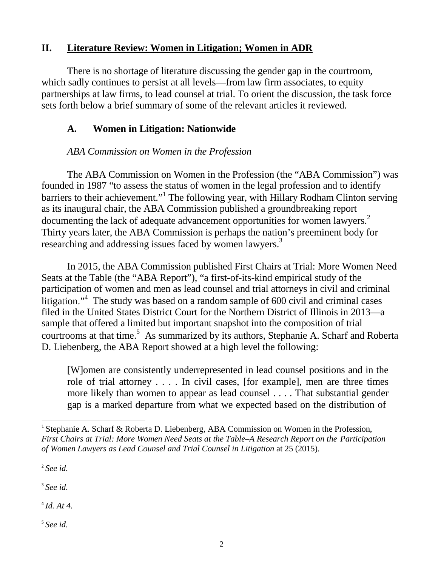## <span id="page-3-0"></span>**II. Literature Review: Women in Litigation; Women in ADR**

There is no shortage of literature discussing the gender gap in the courtroom, which sadly continues to persist at all levels—from law firm associates, to equity partnerships at law firms, to lead counsel at trial. To orient the discussion, the task force sets forth below a brief summary of some of the relevant articles it reviewed.

## <span id="page-3-1"></span>**A. Women in Litigation: Nationwide**

# *ABA Commission on Women in the Profession*

The ABA Commission on Women in the Profession (the "ABA Commission") was founded in 1987 "to assess the status of women in the legal profession and to identify barriers to their achievement."<sup>[1](#page-3-2)</sup> The following year, with Hillary Rodham Clinton serving as its inaugural chair, the ABA Commission published a groundbreaking report documenting the lack of adequate advancement opportunities for women lawyers.<sup>2</sup> Thirty years later, the ABA Commission is perhaps the nation's preeminent body for researching and addressing issues faced by women lawyers.<sup>3</sup>

In 2015, the ABA Commission published First Chairs at Trial: More Women Need Seats at the Table (the "ABA Report"), "a first-of-its-kind empirical study of the participation of women and men as lead counsel and trial attorneys in civil and criminal litigation.["4](#page-3-5) The study was based on a random sample of 600 civil and criminal cases filed in the United States District Court for the Northern District of Illinois in 2013—a sample that offered a limited but important snapshot into the composition of trial courtrooms at that time.<sup>5</sup> As summarized by its authors, Stephanie A. Scharf and Roberta D. Liebenberg, the ABA Report showed at a high level the following:

[W]omen are consistently underrepresented in lead counsel positions and in the role of trial attorney . . . . In civil cases, [for example], men are three times more likely than women to appear as lead counsel . . . . That substantial gender gap is a marked departure from what we expected based on the distribution of

<span id="page-3-3"></span><sup>2</sup> *See id.*

<span id="page-3-4"></span><sup>3</sup> *See id.*

<span id="page-3-5"></span> $^{4}$ *Id.* At 4.

<span id="page-3-6"></span><sup>5</sup> *See id.*

<span id="page-3-2"></span><sup>&</sup>lt;sup>1</sup> Stephanie A. Scharf & Roberta D. Liebenberg, ABA Commission on Women in the Profession, *First Chairs at Trial: More Women Need Seats at the Table–A Research Report on the Participation of Women Lawyers as Lead Counsel and Trial Counsel in Litigation* at 25 (2015).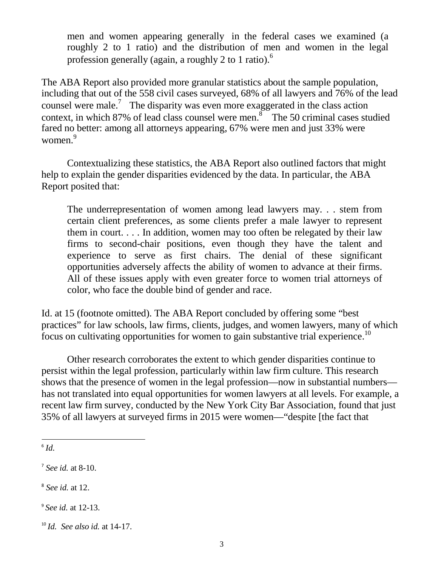men and women appearing generally in the federal cases we examined (a roughly 2 to 1 ratio) and the distribution of men and women in the legal profession generally (again, a roughly 2 to 1 ratio).<sup>6</sup>

The ABA Report also provided more granular statistics about the sample population, including that out of the 558 civil cases surveyed, 68% of all lawyers and 76% of the lead counsel were male.<sup>7</sup> The disparity was even more exaggerated in the class action context, in which 87% of lead class counsel were men.<sup>8</sup> The 50 criminal cases studied fared no better: among all attorneys appearing, 67% were men and just 33% were women.<sup>9</sup>

Contextualizing these statistics, the ABA Report also outlined factors that might help to explain the gender disparities evidenced by the data. In particular, the ABA Report posited that:

The underrepresentation of women among lead lawyers may. . . stem from certain client preferences, as some clients prefer a male lawyer to represent them in court. . . . In addition, women may too often be relegated by their law firms to second-chair positions, even though they have the talent and experience to serve as first chairs. The denial of these significant opportunities adversely affects the ability of women to advance at their firms. All of these issues apply with even greater force to women trial attorneys of color, who face the double bind of gender and race.

Id. at 15 (footnote omitted). The ABA Report concluded by offering some "best practices" for law schools, law firms, clients, judges, and women lawyers, many of which focus on cultivating opportunities for women to gain substantive trial experience.<sup>[10](#page-4-4)</sup>

Other research corroborates the extent to which gender disparities continue to persist within the legal profession, particularly within law firm culture. This research shows that the presence of women in the legal profession—now in substantial numbers has not translated into equal opportunities for women lawyers at all levels. For example, a recent law firm survey, conducted by the New York City Bar Association, found that just 35% of all lawyers at surveyed firms in 2015 were women—"despite [the fact that

<span id="page-4-0"></span> $6$   $Id$ .

<span id="page-4-1"></span><sup>7</sup> *See id.* at 8-10.

<span id="page-4-2"></span><sup>8</sup> *See id.* at 12.

<span id="page-4-3"></span><sup>9</sup> *See id.* at 12-13.

<span id="page-4-4"></span><sup>10</sup> *Id. See also id.* at 14-17.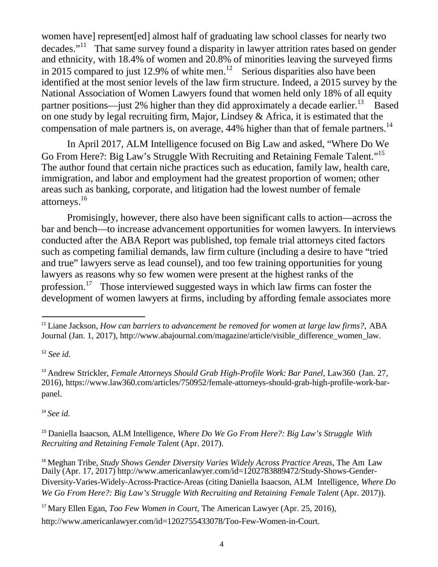women have] represent[ed] almost half of graduating law school classes for nearly two decades."[11](#page-5-0) That same survey found a disparity in lawyer attrition rates based on gender and ethnicity, with 18.4% of women and 20.8% of minorities leaving the surveyed firms in 2015 compared to just [12](#page-5-1).9% of white men.<sup>12</sup> Serious disparities also have been identified at the most senior levels of the law firm structure. Indeed, a 2015 survey by the National Association of Women Lawyers found that women held only 18% of all equity partner positions—just 2% higher than they did approximately a decade earlier.<sup>[13](#page-5-2)</sup> Based on one study by legal recruiting firm, Major, Lindsey & Africa, it is estimated that the compensation of male partners is, on average, 44% higher than that of female partners.<sup>14</sup>

In April 2017, ALM Intelligence focused on Big Law and asked, "Where Do We Go From Here?: Big Law's Struggle With Recruiting and Retaining Female Talent."<sup>15</sup> The author found that certain niche practices such as education, family law, health care, immigration, and labor and employment had the greatest proportion of women; other areas such as banking, corporate, and litigation had the lowest number of female attorneys[.16](#page-5-5)

Promisingly, however, there also have been significant calls to action—across the bar and bench—to increase advancement opportunities for women lawyers. In interviews conducted after the ABA Report was published, top female trial attorneys cited factors such as competing familial demands, law firm culture (including a desire to have "tried and true" lawyers serve as lead counsel), and too few training opportunities for young lawyers as reasons why so few women were present at the highest ranks of the profession[.17](#page-5-6) Those interviewed suggested ways in which law firms can foster the development of women lawyers at firms, including by affording female associates more

<span id="page-5-1"></span><sup>12</sup> *See id.*

<span id="page-5-2"></span><sup>13</sup> Andrew Strickler, *Female Attorneys Should Grab High-Profile Work: Bar Panel*, Law360 (Jan. 27[,](http://www.law360.com/articles/750952/female-attorneys-should-grab-high-) [2016\), https://www.law360.com/articles/750952/female-attorneys-should-gr](http://www.law360.com/articles/750952/female-attorneys-should-grab-high-)a[b-high-](http://www.law360.com/articles/750952/female-attorneys-should-grab-high-)profile-work-barpanel.

<span id="page-5-3"></span><sup>14</sup> *See id.*

<span id="page-5-0"></span><sup>11</sup> Liane Jackson, *How can barriers to advancement be removed for women at large law firms?*, ABA Journal (Jan. 1, 2017), [http://www.abajournal.com/magazine/article/visible\\_difference\\_women\\_law.](http://www.abajournal.com/magazine/article/visible_difference_women_law)

<span id="page-5-4"></span><sup>15</sup> Daniella Isaacson, ALM Intelligence, *Where Do We Go From Here?: Big Law's Struggle With Recruiting and Retaining Female Talent* (Apr. 2017).

<span id="page-5-5"></span><sup>16</sup> Meghan Tribe, *Study Shows Gender Diversity Varies Widely Across Practice Areas*, The Am Law Daily (Apr. 17, 2017) [http://www.americanlawyer.com/id=1202783889472/Study-Shows-Ge](http://www.americanlawyer.com/id%3D1202783889472/Study-Shows-)nder-Diversity-Varies-Widely-Across-Practice-Areas (citing Daniella Isaacson, ALM Intelligence, *Where Do We Go From Here?: Big Law's Struggle With Recruiting and Retaining Female Talent* (Apr. 2017)).

<span id="page-5-6"></span><sup>17</sup> Mary Ellen Egan, *Too Few Women in Court*, The American Lawyer (Apr. 25, 2016), [http://www.americanlawyer.com/id=1202755433078/Too-Few-Women-in-Court.](http://www.americanlawyer.com/id%3D1202755433078/Too-Few-Women-in-Court)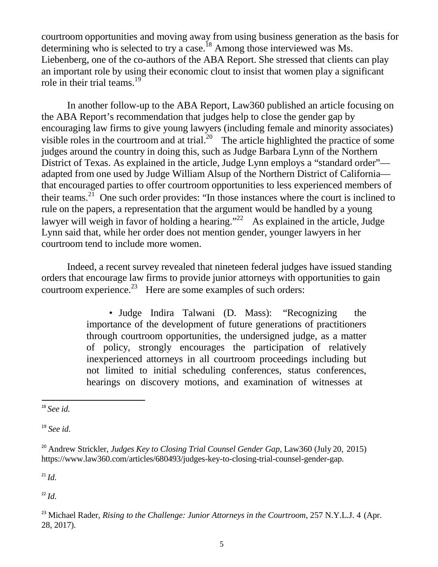courtroom opportunities and moving away from using business generation as the basis for determining who is selected to try a case.<sup>18</sup> Among those interviewed was Ms. Liebenberg, one of the co-authors of the ABA Report. She stressed that clients can play an important role by using their economic clout to insist that women play a significant role in their trial teams.<sup>19</sup>

In another follow-up to the ABA Report, Law360 published an article focusing on the ABA Report's recommendation that judges help to close the gender gap by encouraging law firms to give young lawyers (including female and minority associates) visible roles in the courtroom and at trial.<sup>20</sup> The article highlighted the practice of some judges around the country in doing this, such as Judge Barbara Lynn of the Northern District of Texas. As explained in the article, Judge Lynn employs a "standard order" adapted from one used by Judge William Alsup of the Northern District of California that encouraged parties to offer courtroom opportunities to less experienced members of their teams.<sup>21</sup> One such order provides: "In those instances where the court is inclined to rule on the papers, a representation that the argument would be handled by a young lawyer will weigh in favor of holding a hearing."<sup>22</sup> As explained in the article, Judge Lynn said that, while her order does not mention gender, younger lawyers in her courtroom tend to include more women.

Indeed, a recent survey revealed that nineteen federal judges have issued standing orders that encourage law firms to provide junior attorneys with opportunities to gain courtroom experience.<sup>23</sup> Here are some examples of such orders:

> • Judge Indira Talwani (D. Mass): "Recognizing the importance of the development of future generations of practitioners through courtroom opportunities, the undersigned judge, as a matter of policy, strongly encourages the participation of relatively inexperienced attorneys in all courtroom proceedings including but not limited to initial scheduling conferences, status conferences, hearings on discovery motions, and examination of witnesses at

<span id="page-6-3"></span> $^{21}$ *Id.* 

<span id="page-6-4"></span> $^{22}$  *Id.* 

<span id="page-6-0"></span><sup>18</sup> *See id.*

<span id="page-6-1"></span><sup>19</sup> *See id.*

<span id="page-6-2"></span><sup>20</sup> Andrew Strickler, *Judges Key to Closing Trial Counsel Gender Gap*, Law360 (July 20, 2015[\)](http://www.law360.com/articles/680493/judges-key-to-closing-trial-counsel-gender-gap) [https://www.law360.com/articles/680493/judges-](http://www.law360.com/articles/680493/judges-key-to-closing-trial-counsel-gender-gap)key-to[-closing-trial-counsel-gender-gap.](http://www.law360.com/articles/680493/judges-key-to-closing-trial-counsel-gender-gap)

<span id="page-6-5"></span><sup>23</sup> Michael Rader, *Rising to the Challenge: Junior Attorneys in the Courtroom*, 257 N.Y.L.J. 4 (Apr. 28, 2017).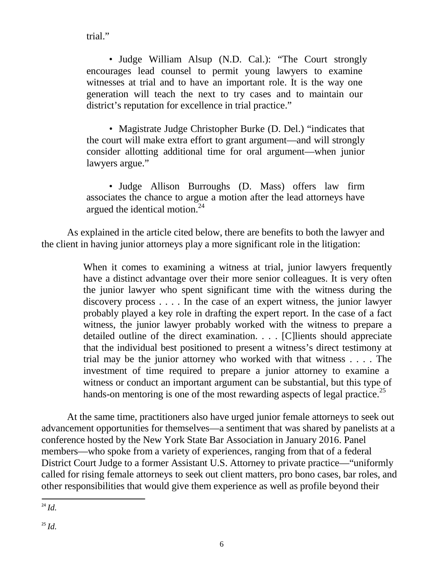trial."

• Judge William Alsup (N.D. Cal.): "The Court strongly encourages lead counsel to permit young lawyers to examine witnesses at trial and to have an important role. It is the way one generation will teach the next to try cases and to maintain our district's reputation for excellence in trial practice."

• Magistrate Judge Christopher Burke (D. Del.) "indicates that the court will make extra effort to grant argument—and will strongly consider allotting additional time for oral argument—when junior lawyers argue."

• Judge Allison Burroughs (D. Mass) offers law firm associates the chance to argue a motion after the lead attorneys have argued the identical motion. $^{24}$ 

As explained in the article cited below, there are benefits to both the lawyer and the client in having junior attorneys play a more significant role in the litigation:

> When it comes to examining a witness at trial, junior lawyers frequently have a distinct advantage over their more senior colleagues. It is very often the junior lawyer who spent significant time with the witness during the discovery process . . . . In the case of an expert witness, the junior lawyer probably played a key role in drafting the expert report. In the case of a fact witness, the junior lawyer probably worked with the witness to prepare a detailed outline of the direct examination. . . . [C]lients should appreciate that the individual best positioned to present a witness's direct testimony at trial may be the junior attorney who worked with that witness . . . . The investment of time required to prepare a junior attorney to examine a witness or conduct an important argument can be substantial, but this type of hands-on mentoring is one of the most rewarding aspects of legal practice.<sup>25</sup>

At the same time, practitioners also have urged junior female attorneys to seek out advancement opportunities for themselves—a sentiment that was shared by panelists at a conference hosted by the New York State Bar Association in January 2016. Panel members—who spoke from a variety of experiences, ranging from that of a federal District Court Judge to a former Assistant U.S. Attorney to private practice—"uniformly called for rising female attorneys to seek out client matters, pro bono cases, bar roles, and other responsibilities that would give them experience as well as profile beyond their

<span id="page-7-1"></span><span id="page-7-0"></span><sup>24</sup> *Id.*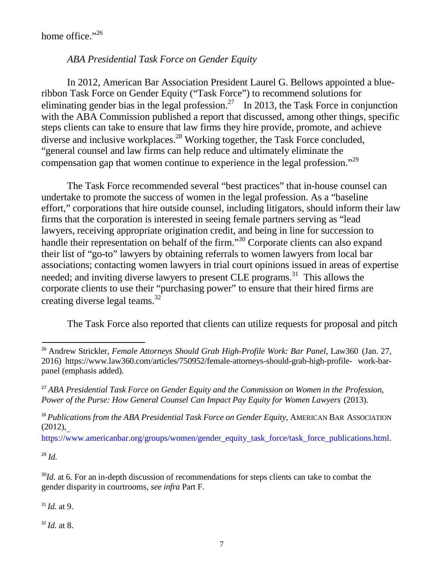home office."<sup>[26](#page-8-0)</sup>

#### *ABA Presidential Task Force on Gender Equity*

In 2012, American Bar Association President Laurel G. Bellows appointed a blueribbon Task Force on Gender Equity ("Task Force") to recommend solutions for eliminating gender bias in the legal profession.<sup>27</sup> In 2013, the Task Force in conjunction with the ABA Commission published a report that discussed, among other things, specific steps clients can take to ensure that law firms they hire provide, promote, and achieve diverse and inclusive workplaces[.28](#page-8-2) Working together, the Task Force concluded, "general counsel and law firms can help reduce and ultimately eliminate the compensation gap that women continue to experience in the legal profession.["29](#page-8-3)

The Task Force recommended several "best practices" that in-house counsel can undertake to promote the success of women in the legal profession. As a "baseline effort," corporations that hire outside counsel, including litigators, should inform their law firms that the corporation is interested in seeing female partners serving as "lead lawyers, receiving appropriate origination credit, and being in line for succession to handle their representation on behalf of the firm."<sup>[30](#page-8-4)</sup> Corporate clients can also expand their list of "go-to" lawyers by obtaining referrals to women lawyers from local bar associations; contacting women lawyers in trial court opinions issued in areas of expertise needed; and inviting diverse lawyers to present CLE programs.<sup>31</sup> This allows the corporate clients to use their "purchasing power" to ensure that their hired firms are creating diverse legal teams.<sup>32</sup>

The Task Force also reported that clients can utilize requests for proposal and pitch

<span id="page-8-2"></span><sup>28</sup> *Publications from the ABA Presidential Task Force on Gender Equity*, AMERICAN BAR ASSOCIATION (2012),

[https://www.americanbar.org/groups/women/gender\\_equity\\_task\\_force/task\\_force\\_publications.html.](https://www.americanbar.org/groups/women/gender_equity_task_force/task_force_publications.html)

<span id="page-8-3"></span><sup>29</sup> *Id.*

<span id="page-8-4"></span><sup>30</sup>*Id.* at 6. For an in-depth discussion of recommendations for steps clients can take to combat the gender disparity in courtrooms, *see infra* Part F.

<span id="page-8-5"></span> $31$  *Id.* at 9.

<span id="page-8-6"></span> $32$  *Id.* at 8.

<span id="page-8-0"></span><sup>26</sup> Andrew Strickler, *Female Attorneys Should Grab High-Profile Work: Bar Panel*, Law360 (Jan. 27, 2016) [https://www.law360.com/articles/750952/female-attorneys-should-](http://www.law360.com/articles/750952/female-attorneys-should-grab-high-profile-)gra[b-high-profile-](http://www.law360.com/articles/750952/female-attorneys-should-grab-high-profile-) work-barpanel (emphasis added).

<span id="page-8-1"></span><sup>27</sup> *ABA Presidential Task Force on Gender Equity and the Commission on Women in the Profession, Power of the Purse: How General Counsel Can Impact Pay Equity for Women Lawyers* (2013).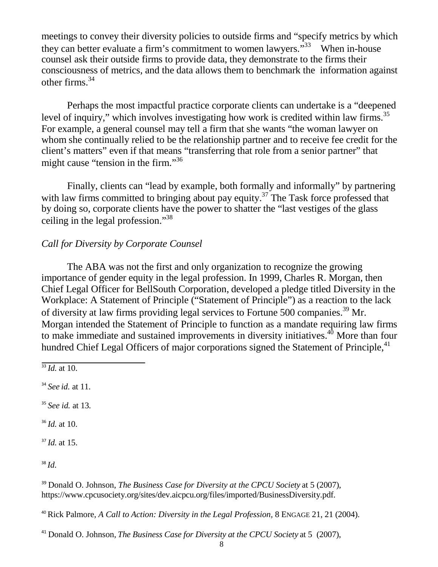<span id="page-9-8"></span>meetings to convey their diversity policies to outside firms and "specify metrics by which they can better evaluate a firm's commitment to women lawyers. $133$  $133$  When in-house counsel ask their outside firms to provide data, they demonstrate to the firms their consciousness of metrics, and the data allows them to benchmark the information against other firms.[34](#page-9-1)

Perhaps the most impactful practice corporate clients can undertake is a "deepened level of inquiry," which involves investigating how work is credited within law firms.<sup>35</sup> For example, a general counsel may tell a firm that she wants "the woman lawyer on whom she continually relied to be the relationship partner and to receive fee credit for the client's matters" even if that means "transferring that role from a senior partner" that might cause "tension in the firm."<sup>36</sup>

Finally, clients can "lead by example, both formally and informally" by partnering with law firms committed to bringing about pay equity.<sup>37</sup> The Task force professed that by doing so, corporate clients have the power to shatter the "last vestiges of the glass ceiling in the legal profession.["38](#page-9-5)

## *Call for Diversity by Corporate Counsel*

The ABA was not the first and only organization to recognize the growing importance of gender equity in the legal profession. In 1999, Charles R. Morgan, then Chief Legal Officer for BellSouth Corporation, developed a pledge titled Diversity in the Workplace: A Statement of Principle ("Statement of Principle") as a reaction to the lack of diversity at law firms providing legal services to Fortune 500 companies[.39](#page-9-6) Mr. Morgan intended the Statement of Principle to function as a mandate requiring law firms to make immediate and sustained improvements in diversity initiatives.<sup>40</sup> More than four hundred Chief Legal Officers of major corporations signed the Statement of Principle,<sup>41</sup>

<span id="page-9-0"></span> $\frac{33}{4}$ *Id.* at 10.

<span id="page-9-1"></span><sup>34</sup> *See id.* at 11.

<span id="page-9-2"></span><sup>35</sup> *See id.* at 13.

<span id="page-9-3"></span><sup>36</sup> *Id.* at 10.

<span id="page-9-4"></span> $37$  *Id.* at 15.

<span id="page-9-5"></span><sup>38</sup> *Id.*

<span id="page-9-6"></span><sup>39</sup> Donald O. Johnson, *The Business Case for Diversity at the CPCU Society* at 5 (2007)[,](http://www.cpcusociety.org/sites/dev.aicpcu.org/files/imported/BusinessDiversity.pdf) [https://www.cpcusociety.org/sites/dev.aicpcu.org/files/imported/BusinessDiversity.](http://www.cpcusociety.org/sites/dev.aicpcu.org/files/imported/BusinessDiversity.pdf)pdf.

<span id="page-9-7"></span><sup>40</sup> Rick Palmore, *A Call to Action: Diversity in the Legal Profession,* 8 ENGAGE 21, 21 (2004).

<sup>41</sup> Donald O. Johnson, *The Business Case for Diversity at the CPCU Society* at 5 (2007),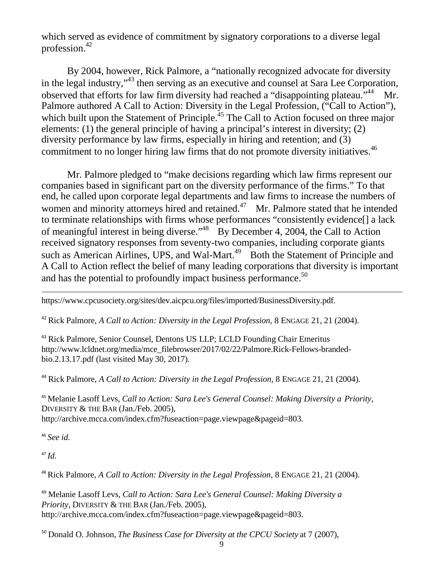<span id="page-10-8"></span>which served as evidence of commitment by signatory corporations to a diverse legal profession[.42](#page-10-0)

By 2004, however, Rick Palmore, a "nationally recognized advocate for diversity in the legal industry,"[43](#page-10-1) then serving as an executive and counsel at Sara Lee Corporation, observed that efforts for law firm diversity had reached a "disappointing plateau."<sup>44</sup> Mr. Palmore authored A Call to Action: Diversity in the Legal Profession, ("Call to Action"), which built upon the Statement of Principle.<sup>45</sup> The Call to Action focused on three major elements: (1) the general principle of having a principal's interest in diversity; (2) diversity performance by law firms, especially in hiring and retention; and (3) commitment to no longer hiring law firms that do not promote diversity initiatives.<sup>[46](#page-10-4)</sup>

Mr. Palmore pledged to "make decisions regarding which law firms represent our companies based in significant part on the diversity performance of the firms." To that end, he called upon corporate legal departments and law firms to increase the numbers of women and minority attorneys hired and retained.<sup>47</sup> Mr. Palmore stated that he intended to terminate relationships with firms whose performances "consistently evidence[] a lack of meaningful interest in being diverse.["48](#page-10-6) By December 4, 2004, the Call to Action received signatory responses from seventy-two companies, including corporate giants such as American Airlines, UPS, and Wal-Mart.<sup>49</sup> Both the Statement of Principle and A Call to Action reflect the belief of many leading corporations that diversity is important and has the potential to profoundly impact business performance.<sup>50</sup>

[https://www.cpcusociety.org/sites/dev.aicpcu.org/files/imported/BusinessDiversity.](http://www.cpcusociety.org/sites/dev.aicpcu.org/files/imported/BusinessDiversity.pdf)pdf.

<span id="page-10-0"></span><sup>42</sup> Rick Palmore, *A Call to Action: Diversity in the Legal Profession,* 8 ENGAGE 21, 21 (2004).

<span id="page-10-1"></span><sup>43</sup> Rick Palmore, Senior Counsel, Dentons US LLP; LCLD Founding Chair Emeritu[s](http://www.lcldnet.org/media/mce_filebrowser/2017/02/22/Palmore.Rick-Fellows-branded-) [http://www.lcldnet.org/media/mce\\_filebrowser/2017/02/22/Palmore.Rick-Fellows-branded](http://www.lcldnet.org/media/mce_filebrowser/2017/02/22/Palmore.Rick-Fellows-branded-)bio.2.13.17.pdf (last visited May 30, 2017).

<span id="page-10-2"></span><sup>44</sup> Rick Palmore, *A Call to Action: Diversity in the Legal Profession,* 8 ENGAGE 21, 21 (2004).

<span id="page-10-3"></span><sup>45</sup> Melanie Lasoff Levs, *Call to Action: Sara Lee's General Counsel: Making Diversity a Priority,* DIVERSITY & THE BAR (Jan./Feb. 2005), [http://archive.mcca.com/index.cfm?fuseaction=page.viewpage&pageid=803.](http://archive.mcca.com/index.cfm?fuseaction=page.viewpage&amp%3Bpageid=803)

<span id="page-10-4"></span><sup>46</sup> *See id.*

<span id="page-10-5"></span> $47$  *Id.* 

<span id="page-10-6"></span><sup>48</sup> Rick Palmore, *A Call to Action: Diversity in the Legal Profession,* 8 ENGAGE 21, 21 (2004).

<span id="page-10-7"></span><sup>49</sup> Melanie Lasoff Levs, *Call to Action: Sara Lee's General Counsel: Making Diversity a Priority,* DIVERSITY & THE BAR (Jan./Feb. 2005)[,](http://archive.mcca.com/index.cfm?fuseaction=page.viewpage&amp%3Bpageid=803) [http://archive.mcca.com/index.cfm?fuseaction=page.viewpage&pageid=803.](http://archive.mcca.com/index.cfm?fuseaction=page.viewpage&amp%3Bpageid=803)

<sup>50</sup> Donald O. Johnson, *The Business Case for Diversity at the CPCU Society* at 7 (2007),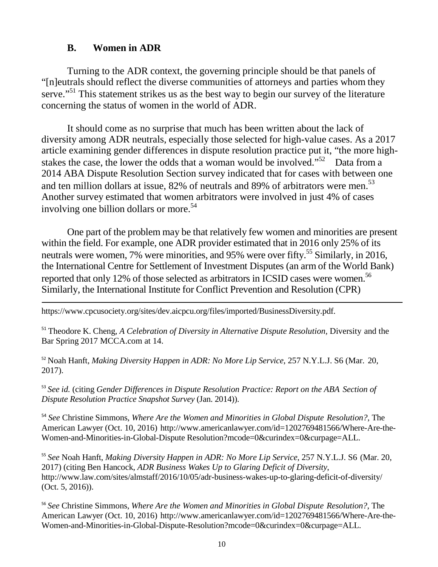#### **B. Women in ADR**

<span id="page-11-0"></span>Turning to the ADR context, the governing principle should be that panels of "[n]eutrals should reflect the diverse communities of attorneys and parties whom they serve."<sup>51</sup> This statement strikes us as the best way to begin our survey of the literature concerning the status of women in the world of ADR.

It should come as no surprise that much has been written about the lack of diversity among ADR neutrals, especially those selected for high-value cases. As a 2017 article examining gender differences in dispute resolution practice put it, "the more highstakes the case, the lower the odds that a woman would be involved."<sup>52</sup> Data from a 2014 ABA Dispute Resolution Section survey indicated that for cases with between one and ten million dollars at issue, 82% of neutrals and 89% of arbitrators were men.<sup>53</sup> Another survey estimated that women arbitrators were involved in just 4% of cases involving one billion dollars or more.<sup>54</sup>

One part of the problem may be that relatively few women and minorities are present within the field. For example, one ADR provider estimated that in 2016 only 25% of its neutrals were women, 7% were minorities, and 95% were over fifty.<sup>55</sup> Similarly, in 2016, the International Centre for Settlement of Investment Disputes (an arm of the World Bank) reported that only 12% of those selected as arbitrators in ICSID cases were women.<sup>56</sup> Similarly, the International Institute for Conflict Prevention and Resolution (CPR)

[https://www.cpcusociety.org/sites/dev.aicpcu.org/files/imported/BusinessDiversity.](http://www.cpcusociety.org/sites/dev.aicpcu.org/files/imported/BusinessDiversity.pdf)pdf.

<sup>51</sup> Theodore K. Cheng, *A Celebration of Diversity in Alternative Dispute Resolution,* Diversity and the Bar Spring 2017 MCCA.com at 14.

<sup>52</sup> Noah Hanft, *Making Diversity Happen in ADR: No More Lip Service*, 257 N.Y.L.J. S6 (Mar. 20, 2017).

<sup>53</sup> *See id.* (citing *Gender Differences in Dispute Resolution Practice: Report on the ABA Section of Dispute Resolution Practice Snapshot Survey* (Jan. 2014)).

<sup>54</sup> *See* Christine Simmons, *Where Are the Women and Minorities in Global Dispute Resolution?*, The American Lawyer (Oct. 10, 2016) [http://www.americanlawyer.com/id=1202769481566/Where-Are-the-](http://www.americanlawyer.com/id%3D1202769481566/Where-Are-the-Women-and-Minorities-in-)[Women-and-Minorities-in-G](http://www.americanlawyer.com/id%3D1202769481566/Where-Are-the-Women-and-Minorities-in-)lobal-Dispute Resolution?mcode=0&curindex=0&curpage=ALL.

<sup>55</sup> *See* Noah Hanft, *Making Diversity Happen in ADR: No More Lip Service*, 257 N.Y.L.J. S6 (Mar. 20, 2017) (citing Ben Hancock, *ADR Business Wakes Up to Glaring Deficit of Diversity*[,](http://www.law.com/sites/almstaff/2016/10/05/adr-business-wakes-up-to-glaring-deficit-of-) [http://www.law.com/sites/almstaff/2016/10/05/adr-business-wakes-up-to-glaring-deficit-of-d](http://www.law.com/sites/almstaff/2016/10/05/adr-business-wakes-up-to-glaring-deficit-of-)iversity/ (Oct. 5, 2016)).

<sup>56</sup> *See* Christine Simmons, *Where Are the Women and Minorities in Global Dispute Resolution?*, The American Lawyer (Oct. 10, 2016) [http://www.americanlawyer.com/id=1202769481566/Where-Are-the-](http://www.americanlawyer.com/id%3D1202769481566/Where-Are-the-Women-and-Minorities-in-)[Women-and-Minorities-in-G](http://www.americanlawyer.com/id%3D1202769481566/Where-Are-the-Women-and-Minorities-in-)lobal-Dispute-Resolution?mcode=0&curindex=0&curpage=ALL.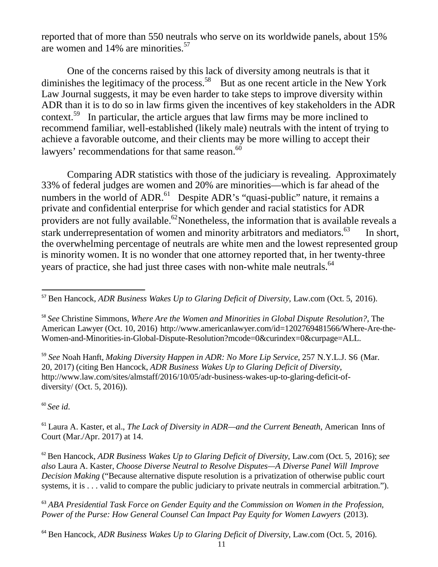reported that of more than 550 neutrals who serve on its worldwide panels, about 15% are women and 14% are minorities.<sup>57</sup>

One of the concerns raised by this lack of diversity among neutrals is that it diminishes the legitimacy of the process.<sup>58</sup> But as one recent article in the New York Law Journal suggests, it may be even harder to take steps to improve diversity within ADR than it is to do so in law firms given the incentives of key stakeholders in the ADR context.<sup>59</sup> In particular, the article argues that law firms may be more inclined to recommend familiar, well-established (likely male) neutrals with the intent of trying to achieve a favorable outcome, and their clients may be more willing to accept their lawyers' recommendations for that same reason.<sup>60</sup>

Comparing ADR statistics with those of the judiciary is revealing. Approximately 33% of federal judges are women and 20% are minorities—which is far ahead of the numbers in the world of ADR.<sup>61</sup> Despite ADR's "quasi-public" nature, it remains a private and confidential enterprise for which gender and racial statistics for ADR providers are not fully available.<sup>62</sup>Nonetheless, the information that is available reveals a stark underrepresentation of women and minority arbitrators and mediators.  $63$  In short, the overwhelming percentage of neutrals are white men and the lowest represented group is minority women. It is no wonder that one attorney reported that, in her twenty-three years of practice, she had just three cases with non-white male neutrals.<sup>64</sup>

<sup>59</sup> *See* Noah Hanft, *Making Diversity Happen in ADR: No More Lip Service*, 257 N.Y.L.J. S6 (Mar. 20, 2017) (citing Ben Hancock, *ADR Business Wakes Up to Glaring Deficit of Diversity*[,](http://www.law.com/sites/almstaff/2016/10/05/adr-business-wakes-up-to-glaring-deficit-of-) [http://www.law.com/sites/almstaff/2016/10/05/adr-business-wakes-up-to-glaring-deficit-of](http://www.law.com/sites/almstaff/2016/10/05/adr-business-wakes-up-to-glaring-deficit-of-)diversity/ (Oct. 5, 2016)).

<sup>60</sup> *See id*.

<span id="page-12-0"></span><sup>61</sup> Laura A. Kaster, et al., *The Lack of Diversity in ADR—and the Current Beneath*, American Inns of Court (Mar./Apr. 2017) at 14.

<sup>62</sup> Ben Hancock, *ADR Business Wakes Up to Glaring Deficit of Diversity*, Law.com (Oct. 5, 2016); *see also* Laura A. Kaster, *Choose Diverse Neutral to Resolve Disputes—A Diverse Panel Will Improve Decision Making* ("Because alternative dispute resolution is a privatization of otherwise public court systems, it is . . . valid to compare the public judiciary to private neutrals in commercial arbitration.").

<sup>63</sup> *ABA Presidential Task Force on Gender Equity and the Commission on Women in the Profession, Power of the Purse: How General Counsel Can Impact Pay Equity for Women Lawyers* (2013).

<span id="page-12-1"></span><sup>64</sup> Ben Hancock, *ADR Business Wakes Up to Glaring Deficit of Diversity*, Law.com (Oct. 5, 2016).

<sup>57</sup> Ben Hancock, *ADR Business Wakes Up to Glaring Deficit of Diversity,* Law.com (Oct. 5, 2016).

<sup>58</sup> *See* Christine Simmons, *Where Are the Women and Minorities in Global Dispute Resolution?*, The American Lawyer (Oct. 10, 2016) [http://www.americanlawyer.com/id=1202769481566/Where-Are-the-](http://www.americanlawyer.com/id%3D1202769481566/Where-Are-the-Women-and-Minorities-in-)[Women-and-Minorities-in-G](http://www.americanlawyer.com/id%3D1202769481566/Where-Are-the-Women-and-Minorities-in-)lobal-Dispute-Resolution?mcode=0&curindex=0&curpage=ALL.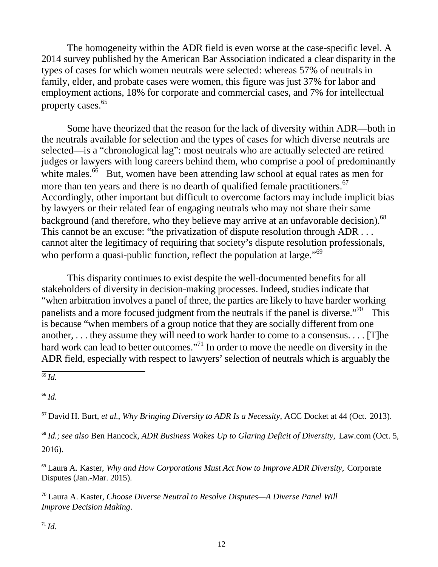The homogeneity within the ADR field is even worse at the case-specific level. A 2014 survey published by the American Bar Association indicated a clear disparity in the types of cases for which women neutrals were selected: whereas 57% of neutrals in family, elder, and probate cases were women, this figure was just 37% for labor and employment actions, 18% for corporate and commercial cases, and 7% for intellectual property cases.[65](#page-13-0)

Some have theorized that the reason for the lack of diversity within ADR—both in the neutrals available for selection and the types of cases for which diverse neutrals are selected—is a "chronological lag": most neutrals who are actually selected are retired judges or lawyers with long careers behind them, who comprise a pool of predominantly white males.<sup>66</sup> But, women have been attending law school at equal rates as men for more than ten years and there is no dearth of qualified female practitioners.<sup>67</sup> Accordingly, other important but difficult to overcome factors may include implicit bias by lawyers or their related fear of engaging neutrals who may not share their same background (and therefore, who they believe may arrive at an unfavorable decision).<sup>68</sup> This cannot be an excuse: "the privatization of dispute resolution through ADR ... cannot alter the legitimacy of requiring that society's dispute resolution professionals, who perform a quasi-public function, reflect the population at large."<sup>69</sup>

This disparity continues to exist despite the well-documented benefits for all stakeholders of diversity in decision-making processes. Indeed, studies indicate that "when arbitration involves a panel of three, the parties are likely to have harder working panelists and a more focused judgment from the neutrals if the panel is diverse. $170^\circ$  This is because "when members of a group notice that they are socially different from one another, . . . they assume they will need to work harder to come to a consensus. . . . [T]he hard work can lead to better outcomes."<sup>71</sup> In order to move the needle on diversity in the ADR field, especially with respect to lawyers' selection of neutrals which is arguably the

<span id="page-13-0"></span> $\overline{^{65}$  *Id.* 

<sup>66</sup> *Id.*

<sup>67</sup> David H. Burt, *et al.*, *Why Bringing Diversity to ADR Is a Necessity*, ACC Docket at 44 (Oct. 2013).

<sup>68</sup> *Id.*; *see also* Ben Hancock, *ADR Business Wakes Up to Glaring Deficit of Diversity*, Law.com (Oct. 5, 2016).

<sup>69</sup> Laura A. Kaster, *Why and How Corporations Must Act Now to Improve ADR Diversity*, Corporate Disputes (Jan.-Mar. 2015).

<sup>70</sup> Laura A. Kaster, *Choose Diverse Neutral to Resolve Disputes—A Diverse Panel Will Improve Decision Making*.

 $^{71}$ *Id.*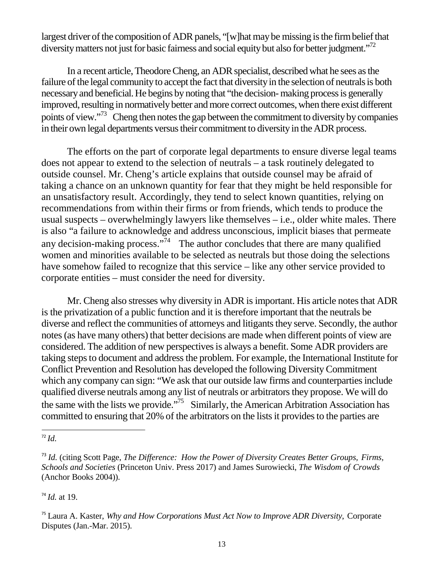largest driver of the composition of ADR panels, "[w]hat may be missing is the firm belief that diversity matters not just for basic fairness and social equity but also for better judgment."<sup>72</sup>

In a recent article, Theodore Cheng, an ADR specialist, described what he sees as the failure of the legal community to accept the fact that diversity in the selection of neutrals is both necessary and beneficial. He begins by noting that "the decision-making process is generally improved, resulting in normatively better and more correct outcomes, when there exist different points of view."<sup>73</sup> Cheng then notes the gap between the commitment to diversity by companies in their own legal departments versus their commitment to diversity in the ADR process.

The efforts on the part of corporate legal departments to ensure diverse legal teams does not appear to extend to the selection of neutrals – a task routinely delegated to outside counsel. Mr. Cheng's article explains that outside counsel may be afraid of taking a chance on an unknown quantity for fear that they might be held responsible for an unsatisfactory result. Accordingly, they tend to select known quantities, relying on recommendations from within their firms or from friends, which tends to produce the usual suspects – overwhelmingly lawyers like themselves – i.e., older white males. There is also "a failure to acknowledge and address unconscious, implicit biases that permeate any decision-making process."<sup>74</sup> The author concludes that there are many qualified women and minorities available to be selected as neutrals but those doing the selections have somehow failed to recognize that this service – like any other service provided to corporate entities – must consider the need for diversity.

Mr. Cheng also stresses why diversity in ADR is important. His article notes that ADR is the privatization of a public function and it is therefore important that the neutrals be diverse and reflect the communities of attorneys and litigants they serve. Secondly, the author notes (as have many others) that better decisions are made when different points of view are considered. The addition of new perspectivesis always a benefit. Some ADR providers are taking steps to document and address the problem. For example, the International Institute for Conflict Prevention and Resolution has developed the following DiversityCommitment which any company can sign: "We ask that our outside law firms and counterparties include qualified diverse neutrals among any list of neutrals or arbitratorsthey propose. We will do the same with the lists we provide."<sup>75</sup> Similarly, the American Arbitration Association has committed to ensuring that 20% of the arbitrators on the lists it provides to the parties are

<sup>72</sup> *Id.*

<sup>73</sup> *Id.* (citing Scott Page, *The Difference: How the Power of Diversity Creates Better Groups, Firms, Schools and Societies* (Princeton Univ. Press 2017) and James Surowiecki, *The Wisdom of Crowds* (Anchor Books 2004)).

<span id="page-14-0"></span><sup>74</sup> *Id.* at 19.

<sup>75</sup> Laura A. Kaster, *Why and How Corporations Must Act Now to Improve ADR Diversity*, Corporate Disputes (Jan.-Mar. 2015).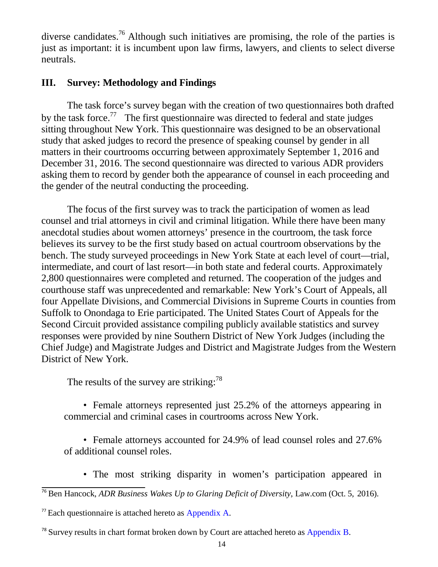diverse candidates.<sup>76</sup> Although such initiatives are promising, the role of the parties is just as important: it is incumbent upon law firms, lawyers, and clients to select diverse neutrals.

#### <span id="page-15-0"></span>**III. Survey: Methodology and Findings**

The task force's survey began with the creation of two questionnaires both drafted by the task force.<sup>77</sup> The first questionnaire was directed to federal and state judges sitting throughout New York. This questionnaire was designed to be an observational study that asked judges to record the presence of speaking counsel by gender in all matters in their courtrooms occurring between approximately September 1, 2016 and December 31, 2016. The second questionnaire was directed to various ADR providers asking them to record by gender both the appearance of counsel in each proceeding and the gender of the neutral conducting the proceeding.

The focus of the first survey was to track the participation of women as lead counsel and trial attorneys in civil and criminal litigation. While there have been many anecdotal studies about women attorneys' presence in the courtroom, the task force believes its survey to be the first study based on actual courtroom observations by the bench. The study surveyed proceedings in New York State at each level of court—trial, intermediate, and court of last resort—in both state and federal courts. Approximately 2,800 questionnaires were completed and returned. The cooperation of the judges and courthouse staff was unprecedented and remarkable: New York's Court of Appeals, all four Appellate Divisions, and Commercial Divisions in Supreme Courts in counties from Suffolk to Onondaga to Erie participated. The United States Court of Appeals for the Second Circuit provided assistance compiling publicly available statistics and survey responses were provided by nine Southern District of New York Judges (including the Chief Judge) and Magistrate Judges and District and Magistrate Judges from the Western District of New York.

The results of the survey are striking:  $78$ 

• Female attorneys represented just 25.2% of the attorneys appearing in commercial and criminal cases in courtrooms across New York.

• Female attorneys accounted for 24.9% of lead counsel roles and 27.6% of additional counsel roles.

- The most striking disparity in women's participation appeared in
- <sup>76</sup> Ben Hancock, *ADR Business Wakes Up to Glaring Deficit of Diversity*, Law.com (Oct. 5, 2016).
- <span id="page-15-1"></span> $77$  Each questionnaire is attached hereto as Appendix A.

<span id="page-15-2"></span><sup>&</sup>lt;sup>78</sup> Survey results in chart format broken down by Court are attached hereto as Appendix B.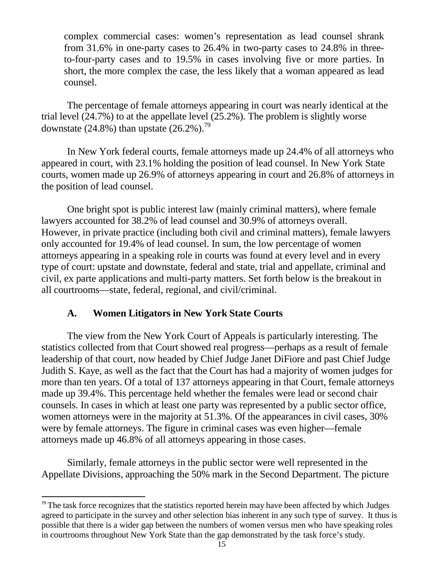complex commercial cases: women's representation as lead counsel shrank from 31.6% in one-party cases to 26.4% in two-party cases to 24.8% in threeto-four-party cases and to 19.5% in cases involving five or more parties. In short, the more complex the case, the less likely that a woman appeared as lead counsel.

The percentage of female attorneys appearing in court was nearly identical at the trial level (24.7%) to at the appellate level (25.2%). The problem is slightly worse downstate  $(24.8\%)$  than upstate  $(26.2\%)$ .<sup>79</sup>

In New York federal courts, female attorneys made up 24.4% of all attorneys who appeared in court, with 23.1% holding the position of lead counsel. In New York State courts, women made up 26.9% of attorneys appearing in court and 26.8% of attorneys in the position of lead counsel.

One bright spot is public interest law (mainly criminal matters), where female lawyers accounted for 38.2% of lead counsel and 30.9% of attorneys overall. However, in private practice (including both civil and criminal matters), female lawyers only accounted for 19.4% of lead counsel. In sum, the low percentage of women attorneys appearing in a speaking role in courts was found at every level and in every type of court: upstate and downstate, federal and state, trial and appellate, criminal and civil, ex parte applications and multi-party matters. Set forth below is the breakout in all courtrooms—state, federal, regional, and civil/criminal.

#### **A. Women Litigators in New York State Courts**

<span id="page-16-0"></span>The view from the New York Court of Appeals is particularly interesting. The statistics collected from that Court showed real progress—perhaps as a result of female leadership of that court, now headed by Chief Judge Janet DiFiore and past Chief Judge Judith S. Kaye, as well as the fact that the Court has had a majority of women judges for more than ten years. Of a total of 137 attorneys appearing in that Court, female attorneys made up 39.4%. This percentage held whether the females were lead or second chair counsels. In cases in which at least one party was represented by a public sector office, women attorneys were in the majority at 51.3%. Of the appearances in civil cases, 30% were by female attorneys. The figure in criminal cases was even higher—female attorneys made up 46.8% of all attorneys appearing in those cases.

Similarly, female attorneys in the public sector were well represented in the Appellate Divisions, approaching the 50% mark in the Second Department. The picture

<span id="page-16-1"></span> $79$  The task force recognizes that the statistics reported herein may have been affected by which Judges agreed to participate in the survey and other selection bias inherent in any such type of survey. It thus is possible that there is a wider gap between the numbers of women versus men who have speaking roles in courtrooms throughout New York State than the gap demonstrated by the task force's study.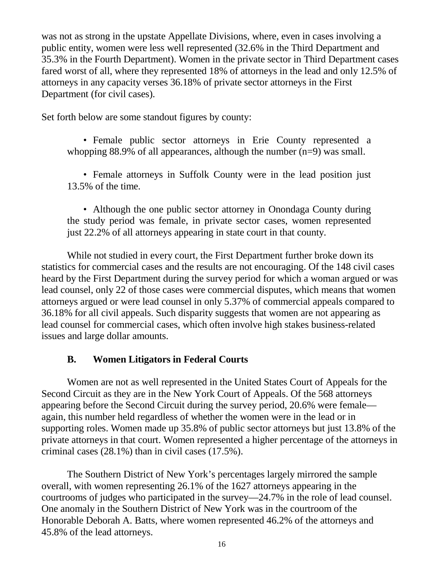was not as strong in the upstate Appellate Divisions, where, even in cases involving a public entity, women were less well represented (32.6% in the Third Department and 35.3% in the Fourth Department). Women in the private sector in Third Department cases fared worst of all, where they represented 18% of attorneys in the lead and only 12.5% of attorneys in any capacity verses 36.18% of private sector attorneys in the First Department (for civil cases).

Set forth below are some standout figures by county:

• Female public sector attorneys in Erie County represented a whopping 88.9% of all appearances, although the number (n=9) was small.

• Female attorneys in Suffolk County were in the lead position just 13.5% of the time.

• Although the one public sector attorney in Onondaga County during the study period was female, in private sector cases, women represented just 22.2% of all attorneys appearing in state court in that county.

While not studied in every court, the First Department further broke down its statistics for commercial cases and the results are not encouraging. Of the 148 civil cases heard by the First Department during the survey period for which a woman argued or was lead counsel, only 22 of those cases were commercial disputes, which means that women attorneys argued or were lead counsel in only 5.37% of commercial appeals compared to 36.18% for all civil appeals. Such disparity suggests that women are not appearing as lead counsel for commercial cases, which often involve high stakes business-related issues and large dollar amounts.

## **B. Women Litigators in Federal Courts**

<span id="page-17-0"></span>Women are not as well represented in the United States Court of Appeals for the Second Circuit as they are in the New York Court of Appeals. Of the 568 attorneys appearing before the Second Circuit during the survey period, 20.6% were female again, this number held regardless of whether the women were in the lead or in supporting roles. Women made up 35.8% of public sector attorneys but just 13.8% of the private attorneys in that court. Women represented a higher percentage of the attorneys in criminal cases (28.1%) than in civil cases (17.5%).

The Southern District of New York's percentages largely mirrored the sample overall, with women representing 26.1% of the 1627 attorneys appearing in the courtrooms of judges who participated in the survey—24.7% in the role of lead counsel. One anomaly in the Southern District of New York was in the courtroom of the Honorable Deborah A. Batts, where women represented 46.2% of the attorneys and 45.8% of the lead attorneys.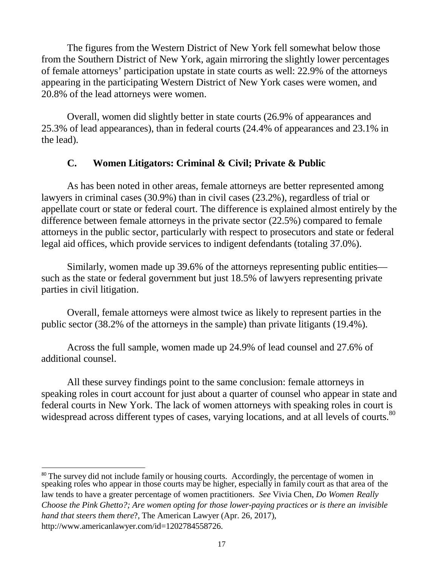The figures from the Western District of New York fell somewhat below those from the Southern District of New York, again mirroring the slightly lower percentages of female attorneys' participation upstate in state courts as well: 22.9% of the attorneys appearing in the participating Western District of New York cases were women, and 20.8% of the lead attorneys were women.

Overall, women did slightly better in state courts (26.9% of appearances and 25.3% of lead appearances), than in federal courts (24.4% of appearances and 23.1% in the lead).

#### **C. Women Litigators: Criminal & Civil; Private & Public**

<span id="page-18-0"></span>As has been noted in other areas, female attorneys are better represented among lawyers in criminal cases (30.9%) than in civil cases (23.2%), regardless of trial or appellate court or state or federal court. The difference is explained almost entirely by the difference between female attorneys in the private sector (22.5%) compared to female attorneys in the public sector, particularly with respect to prosecutors and state or federal legal aid offices, which provide services to indigent defendants (totaling 37.0%).

Similarly, women made up 39.6% of the attorneys representing public entities such as the state or federal government but just 18.5% of lawyers representing private parties in civil litigation.

Overall, female attorneys were almost twice as likely to represent parties in the public sector (38.2% of the attorneys in the sample) than private litigants (19.4%).

Across the full sample, women made up 24.9% of lead counsel and 27.6% of additional counsel.

All these survey findings point to the same conclusion: female attorneys in speaking roles in court account for just about a quarter of counsel who appear in state and federal courts in New York. The lack of women attorneys with speaking roles in court is widespread across different types of cases, varying locations, and at all levels of courts.<sup>[80](#page-18-1)</sup>

<span id="page-18-1"></span><sup>80</sup> The survey did not include family or housing courts. Accordingly, the percentage of women in speaking roles who appear in those courts may be higher, especially in family court as that area of the law tends to have a greater percentage of women practitioners. *See* Vivia Chen, *Do Women Really Choose the Pink Ghetto?; Are women opting for those lower-paying practices or is there an invisible hand that steers them there*?, The American Lawyer (Apr. 26, 2017[\),](http://www.americanlawyer.com/id%3D1202784558726) [http://www.americanlawyer.com/id=1202784558726.](http://www.americanlawyer.com/id%3D1202784558726)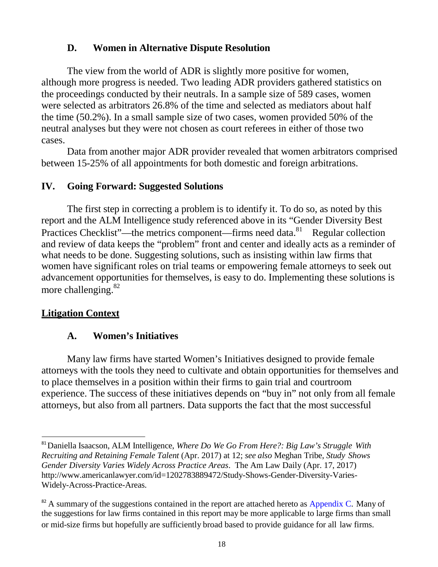## **D. Women in Alternative Dispute Resolution**

<span id="page-19-0"></span>The view from the world of ADR is slightly more positive for women, although more progress is needed. Two leading ADR providers gathered statistics on the proceedings conducted by their neutrals. In a sample size of 589 cases, women were selected as arbitrators 26.8% of the time and selected as mediators about half the time (50.2%). In a small sample size of two cases, women provided 50% of the neutral analyses but they were not chosen as court referees in either of those two cases.

Data from another major ADR provider revealed that women arbitrators comprised between 15-25% of all appointments for both domestic and foreign arbitrations.

## <span id="page-19-1"></span>**IV. Going Forward: Suggested Solutions**

The first step in correcting a problem is to identify it. To do so, as noted by this report and the ALM Intelligence study referenced above in its "Gender Diversity Best Practices Checklist"—the metrics component—firms need data.<sup>81</sup> Regular collection and review of data keeps the "problem" front and center and ideally acts as a reminder of what needs to be done. Suggesting solutions, such as insisting within law firms that women have significant roles on trial teams or empowering female attorneys to seek out advancement opportunities for themselves, is easy to do. Implementing these solutions is more challenging. $82$ 

## <span id="page-19-2"></span>**Litigation Context**

# **A. Women's Initiatives**

Many law firms have started Women's Initiatives designed to provide female attorneys with the tools they need to cultivate and obtain opportunities for themselves and to place themselves in a position within their firms to gain trial and courtroom experience. The success of these initiatives depends on "buy in" not only from all female attorneys, but also from all partners. Data supports the fact that the most successful

<span id="page-19-3"></span><sup>81</sup>Daniella Isaacson, ALM Intelligence, *Where Do We Go From Here?: Big Law's Struggle With Recruiting and Retaining Female Talent* (Apr. 2017) at 12; *see also* Meghan Tribe, *Study Shows Gender Diversity Varies Widely Across Practice Areas*. The Am Law Daily (Apr. 17, 2017[\)](http://www.americanlawyer.com/id%3D1202783889472/Study-Shows-Gender-Diversity-Varies-) [http://www.americanlawyer.com/id=1202783889472/Study-Shows-Gender-Diversity-Varies-](http://www.americanlawyer.com/id%3D1202783889472/Study-Shows-Gender-Diversity-Varies-)Widely-Across-Practice-Areas.

<span id="page-19-4"></span> $82$  A summary of the suggestions contained in the report are attached hereto as Appendix C. Many of the suggestions for law firms contained in this report may be more applicable to large firms than small or mid-size firms but hopefully are sufficiently broad based to provide guidance for all law firms.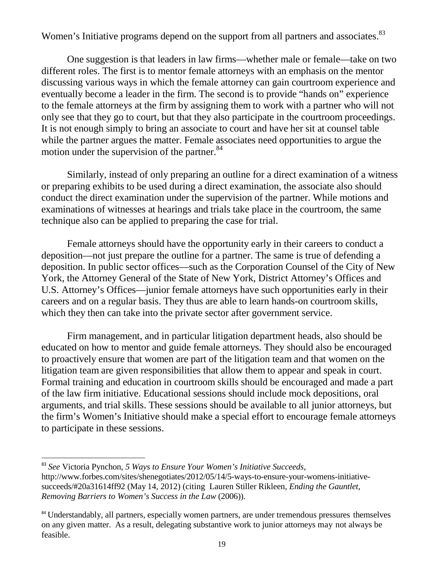Women's Initiative programs depend on the support from all partners and associates.<sup>83</sup>

One suggestion is that leaders in law firms—whether male or female—take on two different roles. The first is to mentor female attorneys with an emphasis on the mentor discussing various ways in which the female attorney can gain courtroom experience and eventually become a leader in the firm. The second is to provide "hands on" experience to the female attorneys at the firm by assigning them to work with a partner who will not only see that they go to court, but that they also participate in the courtroom proceedings. It is not enough simply to bring an associate to court and have her sit at counsel table while the partner argues the matter. Female associates need opportunities to argue the motion under the supervision of the partner.<sup>[84](#page-20-1)</sup>

Similarly, instead of only preparing an outline for a direct examination of a witness or preparing exhibits to be used during a direct examination, the associate also should conduct the direct examination under the supervision of the partner. While motions and examinations of witnesses at hearings and trials take place in the courtroom, the same technique also can be applied to preparing the case for trial.

Female attorneys should have the opportunity early in their careers to conduct a deposition—not just prepare the outline for a partner. The same is true of defending a deposition. In public sector offices—such as the Corporation Counsel of the City of New York, the Attorney General of the State of New York, District Attorney's Offices and U.S. Attorney's Offices—junior female attorneys have such opportunities early in their careers and on a regular basis. They thus are able to learn hands-on courtroom skills, which they then can take into the private sector after government service.

Firm management, and in particular litigation department heads, also should be educated on how to mentor and guide female attorneys. They should also be encouraged to proactively ensure that women are part of the litigation team and that women on the litigation team are given responsibilities that allow them to appear and speak in court. Formal training and education in courtroom skills should be encouraged and made a part of the law firm initiative. Educational sessions should include mock depositions, oral arguments, and trial skills. These sessions should be available to all junior attorneys, but the firm's Women's Initiative should make a special effort to encourage female attorneys to participate in these sessions.

<span id="page-20-0"></span><sup>83</sup> *See* Victoria Pynchon, *5 Ways to Ensure Your Women's Initiative Succeeds*[,](http://www.forbes.com/sites/shenegotiates/2012/05/14/5-ways-to-ensure-your-womens-initiative-) [http://www.forbes.com/sites/shenegotiates/2012/05/14/5-ways-to-ensure-your-womens-initiative](http://www.forbes.com/sites/shenegotiates/2012/05/14/5-ways-to-ensure-your-womens-initiative-)succeeds/#20a31614ff92 (May 14, 2012) (citing Lauren Stiller Rikleen, *Ending the Gauntlet, Removing Barriers to Women's Success in the Law* (2006)).

<span id="page-20-1"></span><sup>&</sup>lt;sup>84</sup> Understandably, all partners, especially women partners, are under tremendous pressures themselves on any given matter. As a result, delegating substantive work to junior attorneys may not always be feasible.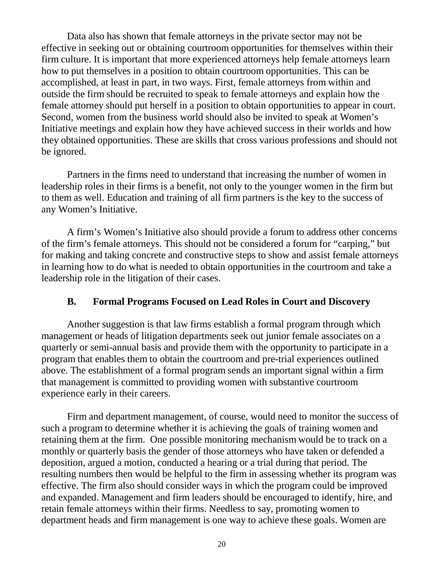Data also has shown that female attorneys in the private sector may not be effective in seeking out or obtaining courtroom opportunities for themselves within their firm culture. It is important that more experienced attorneys help female attorneys learn how to put themselves in a position to obtain courtroom opportunities. This can be accomplished, at least in part, in two ways. First, female attorneys from within and outside the firm should be recruited to speak to female attorneys and explain how the female attorney should put herself in a position to obtain opportunities to appear in court. Second, women from the business world should also be invited to speak at Women's Initiative meetings and explain how they have achieved success in their worlds and how they obtained opportunities. These are skills that cross various professions and should not be ignored.

Partners in the firms need to understand that increasing the number of women in leadership roles in their firms is a benefit, not only to the younger women in the firm but to them as well. Education and training of all firm partners is the key to the success of any Women's Initiative.

A firm's Women's Initiative also should provide a forum to address other concerns of the firm's female attorneys. This should not be considered a forum for "carping," but for making and taking concrete and constructive steps to show and assist female attorneys in learning how to do what is needed to obtain opportunities in the courtroom and take a leadership role in the litigation of their cases.

#### **B. Formal Programs Focused on Lead Roles in Court and Discovery**

<span id="page-21-0"></span>Another suggestion is that law firms establish a formal program through which management or heads of litigation departments seek out junior female associates on a quarterly or semi-annual basis and provide them with the opportunity to participate in a program that enables them to obtain the courtroom and pre-trial experiences outlined above. The establishment of a formal program sends an important signal within a firm that management is committed to providing women with substantive courtroom experience early in their careers.

Firm and department management, of course, would need to monitor the success of such a program to determine whether it is achieving the goals of training women and retaining them at the firm. One possible monitoring mechanism would be to track on a monthly or quarterly basis the gender of those attorneys who have taken or defended a deposition, argued a motion, conducted a hearing or a trial during that period. The resulting numbers then would be helpful to the firm in assessing whether its program was effective. The firm also should consider ways in which the program could be improved and expanded. Management and firm leaders should be encouraged to identify, hire, and retain female attorneys within their firms. Needless to say, promoting women to department heads and firm management is one way to achieve these goals. Women are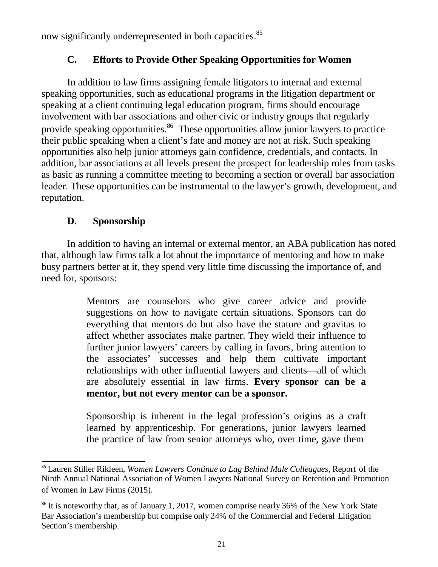<span id="page-22-0"></span>now significantly underrepresented in both capacities.<sup>85</sup>

# **C. Efforts to Provide Other Speaking Opportunities for Women**

In addition to law firms assigning female litigators to internal and external speaking opportunities, such as educational programs in the litigation department or speaking at a client continuing legal education program, firms should encourage involvement with bar associations and other civic or industry groups that regularly provide speaking opportunities.<sup>86</sup> These opportunities allow junior lawyers to practice their public speaking when a client's fate and money are not at risk. Such speaking opportunities also help junior attorneys gain confidence, credentials, and contacts. In addition, bar associations at all levels present the prospect for leadership roles from tasks as basic as running a committee meeting to becoming a section or overall bar association leader. These opportunities can be instrumental to the lawyer's growth, development, and reputation.

# **D. Sponsorship**

<span id="page-22-1"></span>In addition to having an internal or external mentor, an ABA publication has noted that, although law firms talk a lot about the importance of mentoring and how to make busy partners better at it, they spend very little time discussing the importance of, and need for, sponsors:

> Mentors are counselors who give career advice and provide suggestions on how to navigate certain situations. Sponsors can do everything that mentors do but also have the stature and gravitas to affect whether associates make partner. They wield their influence to further junior lawyers' careers by calling in favors, bring attention to the associates' successes and help them cultivate important relationships with other influential lawyers and clients—all of which are absolutely essential in law firms. **Every sponsor can be a mentor, but not every mentor can be a sponsor.**

> Sponsorship is inherent in the legal profession's origins as a craft learned by apprenticeship. For generations, junior lawyers learned the practice of law from senior attorneys who, over time, gave them

<span id="page-22-2"></span><sup>85</sup> Lauren Stiller Rikleen, *Women Lawyers Continue to Lag Behind Male Colleagues*, Report of the Ninth Annual National Association of Women Lawyers National Survey on Retention and Promotion of Women in Law Firms (2015).

<span id="page-22-3"></span><sup>&</sup>lt;sup>86</sup> It is noteworthy that, as of January 1, 2017, women comprise nearly 36% of the New York State Bar Association's membership but comprise only 24% of the Commercial and Federal Litigation Section's membership.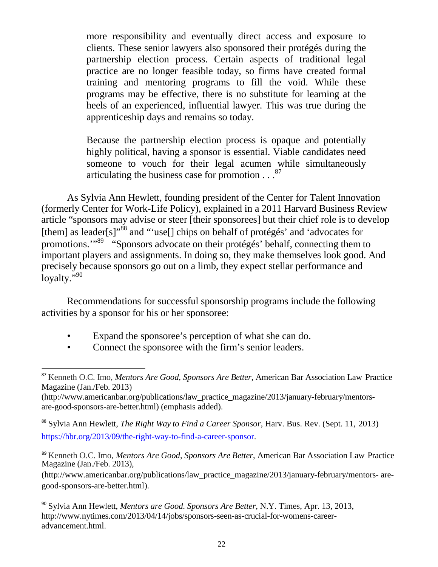more responsibility and eventually direct access and exposure to clients. These senior lawyers also sponsored their protégés during the partnership election process. Certain aspects of traditional legal practice are no longer feasible today, so firms have created formal training and mentoring programs to fill the void. While these programs may be effective, there is no substitute for learning at the heels of an experienced, influential lawyer. This was true during the apprenticeship days and remains so today.

Because the partnership election process is opaque and potentially highly political, having a sponsor is essential. Viable candidates need someone to vouch for their legal acumen while simultaneously articulating the business case for promotion  $\ldots$ <sup>[87](#page-23-0)</sup>

As Sylvia Ann Hewlett, founding president of the Center for Talent Innovation (formerly Center for Work-Life Policy), explained in a 2011 Harvard Business Review article "sponsors may advise or steer [their sponsorees] but their chief role is to develop [them] as leader[s]"<sup>[88](#page-23-1)</sup> and "'use[] chips on behalf of protégés' and 'advocates for promotions."<sup>[89](#page-23-2)</sup> "Sponsors advocate on their protégés' behalf, connecting them to important players and assignments. In doing so, they make themselves look good. And precisely because sponsors go out on a limb, they expect stellar performance and loyalty."<sup>[90](#page-23-3)</sup>

Recommendations for successful sponsorship programs include the following activities by a sponsor for his or her sponsoree:

- Expand the sponsoree's perception of what she can do.
- Connect the sponsoree with the firm's senior leaders.

<span id="page-23-1"></span><sup>88</sup> Sylvia Ann Hewlett, *The Right Way to Find a Career Sponsor*, Harv. Bus. Rev. (Sept. 11, 2013) [https://hbr.org/2013/09/the-right-way-to-find-a-career-sponsor.](https://hbr.org/2013/09/the-right-way-to-find-a-career-sponsor)

[\(http://www.americanbar.org/publications/law\\_practice\\_magazine/2013/january-february/mentors-](http://www.americanbar.org/publications/law_practice_magazine/2013/january-february/mentors-) aregood-sponsors-are-better.html).

<span id="page-23-0"></span><sup>87</sup> Kenneth O.C. Imo, *Mentors Are Good, Sponsors Are Better*, American Bar Association Law Practice Magazine (Jan./Feb. 2013[\)](http://www.americanbar.org/publications/law_practice_magazine/2013/january-february/mentors-)

[<sup>\(</sup>http://www.americanbar.org/publications/law\\_practice\\_magazine/2013/january-february/mentors](http://www.americanbar.org/publications/law_practice_magazine/2013/january-february/mentors-)are-good-sponsors-are-better.html) (emphasis added).

<span id="page-23-2"></span><sup>89</sup> Kenneth O.C. Imo, *Mentors Are Good, Sponsors Are Better*, American Bar Association Law Practice Magazine (Jan./Feb. 2013),

<span id="page-23-3"></span><sup>90</sup> Sylvia Ann Hewlett, *Mentors are Good. Sponsors Are Better*, N.Y. Times, Apr. 13, 2013[,](http://www.nytimes.com/2013/04/14/jobs/sponsors-seen-as-crucial-for-womens-career-) [http://www.nytimes.com/2013/04/14/jobs/sponsors-seen-as-crucial-for-womens-career](http://www.nytimes.com/2013/04/14/jobs/sponsors-seen-as-crucial-for-womens-career-)advancement.html.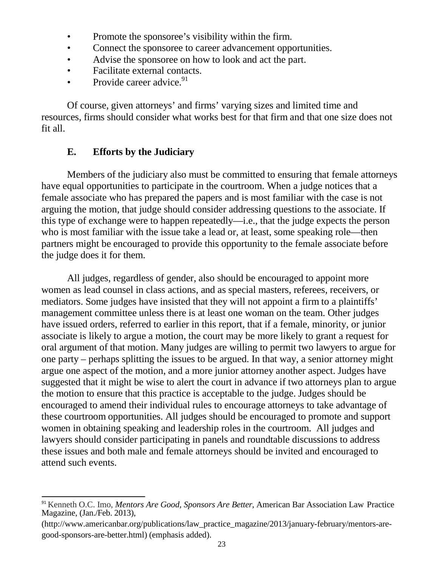- Promote the sponsoree's visibility within the firm.
- Connect the sponsoree to career advancement opportunities.
- Advise the sponsoree on how to look and act the part.
- Facilitate external contacts.
- Provide career advice. $91$

Of course, given attorneys' and firms' varying sizes and limited time and resources, firms should consider what works best for that firm and that one size does not fit all.

## **E. Efforts by the Judiciary**

<span id="page-24-0"></span>Members of the judiciary also must be committed to ensuring that female attorneys have equal opportunities to participate in the courtroom. When a judge notices that a female associate who has prepared the papers and is most familiar with the case is not arguing the motion, that judge should consider addressing questions to the associate. If this type of exchange were to happen repeatedly—i.e., that the judge expects the person who is most familiar with the issue take a lead or, at least, some speaking role—then partners might be encouraged to provide this opportunity to the female associate before the judge does it for them.

All judges, regardless of gender, also should be encouraged to appoint more women as lead counsel in class actions, and as special masters, referees, receivers, or mediators. Some judges have insisted that they will not appoint a firm to a plaintiffs' management committee unless there is at least one woman on the team. Other judges have issued orders, referred to earlier in this report, that if a female, minority, or junior associate is likely to argue a motion, the court may be more likely to grant a request for oral argument of that motion. Many judges are willing to permit two lawyers to argue for one party – perhaps splitting the issues to be argued. In that way, a senior attorney might argue one aspect of the motion, and a more junior attorney another aspect. Judges have suggested that it might be wise to alert the court in advance if two attorneys plan to argue the motion to ensure that this practice is acceptable to the judge. Judges should be encouraged to amend their individual rules to encourage attorneys to take advantage of these courtroom opportunities. All judges should be encouraged to promote and support women in obtaining speaking and leadership roles in the courtroom. All judges and lawyers should consider participating in panels and roundtable discussions to address these issues and both male and female attorneys should be invited and encouraged to attend such events.

<span id="page-24-1"></span><sup>91</sup> Kenneth O.C. Imo, *Mentors Are Good, Sponsors Are Better*, American Bar Association Law Practice Magazine, (Jan./Feb. 2013),

[<sup>\(</sup>http://www.americanbar.org/publications/law\\_practice\\_magazine/2013/january-february/mentors-](http://www.americanbar.org/publications/law_practice_magazine/2013/january-february/mentors-)aregood-sponsors-are-better.html) (emphasis added).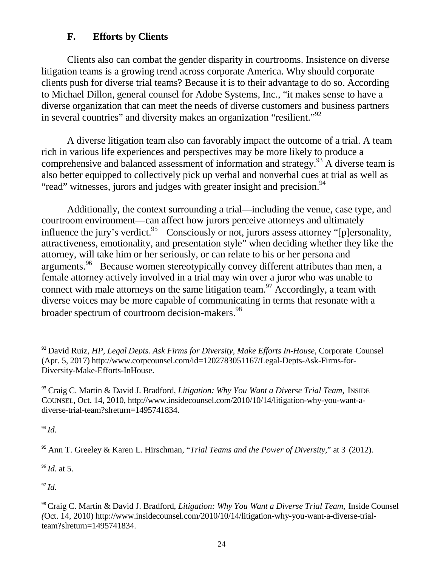# **F. Efforts by Clients**

<span id="page-25-0"></span>Clients also can combat the gender disparity in courtrooms. Insistence on diverse litigation teams is a growing trend across corporate America. Why should corporate clients push for diverse trial teams? Because it is to their advantage to do so. According to Michael Dillon, general counsel for Adobe Systems, Inc., "it makes sense to have a diverse organization that can meet the needs of diverse customers and business partners in several countries" and diversity makes an organization "resilient."<sup>[92](#page-25-1)</sup>

A diverse litigation team also can favorably impact the outcome of a trial. A team rich in various life experiences and perspectives may be more likely to produce a comprehensive and balanced assessment of information and strategy[.93](#page-25-2) A diverse team is also better equipped to collectively pick up verbal and nonverbal cues at trial as well as "read" witnesses, jurors and judges with greater insight and precision.<sup>[94](#page-25-3)</sup>

Additionally, the context surrounding a trial—including the venue, case type, and courtroom environment—can affect how jurors perceive attorneys and ultimately influence the jury's verdict.<sup>95</sup> Consciously or not, jurors assess attorney "[p]ersonality, attractiveness, emotionality, and presentation style" when deciding whether they like the attorney, will take him or her seriously, or can relate to his or her persona and arguments.<sup>[96](#page-25-5)</sup> Because women stereotypically convey different attributes than men, a female attorney actively involved in a trial may win over a juror who was unable to connect with male attorneys on the same litigation team.<sup>97</sup> Accordingly, a team with diverse voices may be more capable of communicating in terms that resonate with a broader spectrum of courtroom decision-makers.<sup>98</sup>

<span id="page-25-3"></span> $^{94}$  *Id.* 

<span id="page-25-4"></span><sup>95</sup> Ann T. Greeley & Karen L. Hirschman, "*Trial Teams and the Power of Diversity*," at 3 (2012).

<span id="page-25-5"></span><sup>96</sup> *Id.* at 5.

<span id="page-25-6"></span> $^{97}$  *Id.* 

<span id="page-25-1"></span><sup>92</sup> David Ruiz, *HP, Legal Depts. Ask Firms for Diversity, Make Efforts In-House*, Corporate Counsel (Apr. 5, 2017) [http://www.corpcounsel.com/id=1202783051167/Legal-Depts-Ask-Firms-f](http://www.corpcounsel.com/id%3D1202783051167/Legal-Depts-Ask-Firms-)or-Diversity-Make-Efforts-InHouse.

<span id="page-25-2"></span><sup>93</sup> Craig C. Martin & David J. Bradford, *Litigation: Why You Want a Diverse Trial Team,* INSIDE COUNSEL, Oct. 14, 2010, [http://www.insidecounsel.com/2010/10/14/litigation-why-you-w](http://www.insidecounsel.com/2010/10/14/litigation-why-you-)ant-adiverse-trial-team?slreturn=1495741834.

<span id="page-25-7"></span><sup>98</sup> Craig C. Martin & David J. Bradford, *Litigation: Why You Want a Diverse Trial Team,* Inside Counsel *(*Oct. 14, 2010) [http://www.insidecounsel.com/2010/10/14/litigation-why-you-want-a](http://www.insidecounsel.com/2010/10/14/litigation-why-you-want-)-diverse-trialteam?slreturn=1495741834.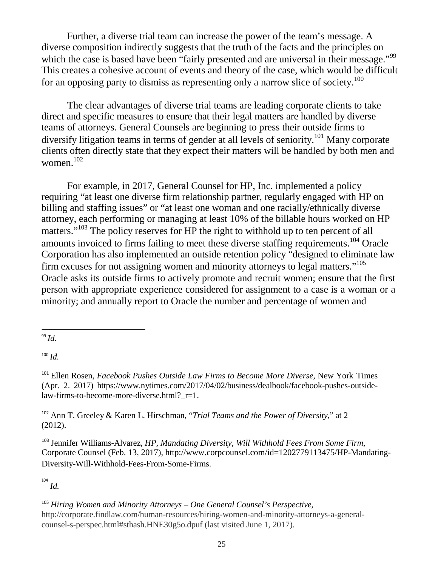Further, a diverse trial team can increase the power of the team's message. A diverse composition indirectly suggests that the truth of the facts and the principles on which the case is based have been "fairly presented and are universal in their message."<sup>[99](#page-26-0)</sup> This creates a cohesive account of events and theory of the case, which would be difficult for an opposing party to dismiss as representing only a narrow slice of society.<sup>100</sup>

The clear advantages of diverse trial teams are leading corporate clients to take direct and specific measures to ensure that their legal matters are handled by diverse teams of attorneys. General Counsels are beginning to press their outside firms to diversify litigation teams in terms of gender at all levels of seniority.<sup>101</sup> Many corporate clients often directly state that they expect their matters will be handled by both men and women. $102$ 

For example, in 2017, General Counsel for HP, Inc. implemented a policy requiring "at least one diverse firm relationship partner, regularly engaged with HP on billing and staffing issues" or "at least one woman and one racially/ethnically diverse attorney, each performing or managing at least 10% of the billable hours worked on HP matters."<sup>[103](#page-26-4)</sup> The policy reserves for HP the right to withhold up to ten percent of all amounts invoiced to firms failing to meet these diverse staffing requirements.<sup>[104](#page-26-5)</sup> Oracle Corporation has also implemented an outside retention policy "designed to eliminate law firm excuses for not assigning women and minority attorneys to legal matters."<sup>[105](#page-26-6)</sup> Oracle asks its outside firms to actively promote and recruit women; ensure that the first person with appropriate experience considered for assignment to a case is a woman or a minority; and annually report to Oracle the number and percentage of women and

<span id="page-26-1"></span><sup>100</sup> *Id.*

<span id="page-26-2"></span><sup>101</sup> Ellen Rosen, *Facebook Pushes Outside Law Firms to Become More Diverse,* New York Times (Apr. 2. 2017) [https://www.nytimes.com/2017/04/02/business/dealbook/facebook-](http://www.nytimes.com/2017/04/02/business/dealbook/facebook-pushes-)pushes-outsidelaw-firms-to-become-more-diverse.html?\_r=1.

<span id="page-26-3"></span><sup>102</sup> Ann T. Greeley & Karen L. Hirschman, "*Trial Teams and the Power of Diversity*," at 2 (2012).

<span id="page-26-4"></span><sup>103</sup> Jennifer Williams-Alvarez, *HP, Mandating Diversity, Will Withhold Fees From Some Firm*, Corporate Counsel (Feb. 13, 2017), [http://www.corpcounsel.com/id=1202779113475/HP-Mandating-](http://www.corpcounsel.com/id%3D1202779113475/HP-)Diversity-Will-Withhold-Fees-From-Some-Firms.

<span id="page-26-5"></span>104 *Id.*

<span id="page-26-6"></span><sup>105</sup> *Hiring Women and Minority Attorneys – One General Counsel's Perspective,* [http://corporate.findlaw.com/human-resources/hiring-women-and-minority-attorneys-a-general](http://corporate.findlaw.com/human-resources/hiring-women-and-minority-attorneys-a-general-)counsel-s-perspec.html#sthash.HNE30g5o.dpuf (last visited June 1, 2017).

<span id="page-26-0"></span><sup>99</sup> *Id.*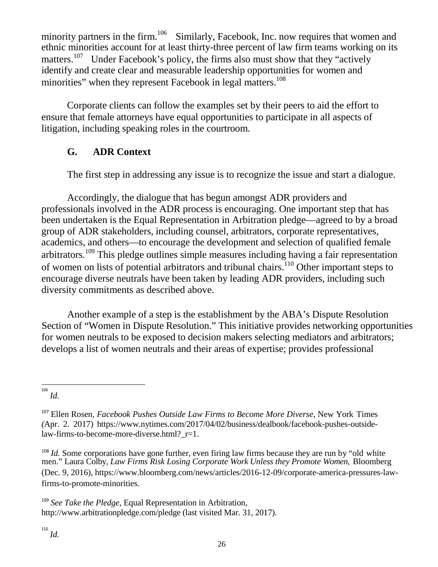minority partners in the firm.<sup>106</sup> Similarly, Facebook, Inc. now requires that women and ethnic minorities account for at least thirty-three percent of law firm teams working on its matters.<sup>[107](#page-27-2)</sup> Under Facebook's policy, the firms also must show that they "actively" identify and create clear and measurable leadership opportunities for women and minorities" when they represent Facebook in legal matters.<sup>108</sup>

Corporate clients can follow the examples set by their peers to aid the effort to ensure that female attorneys have equal opportunities to participate in all aspects of litigation, including speaking roles in the courtroom.

# <span id="page-27-0"></span>**G. ADR Context**

The first step in addressing any issue is to recognize the issue and start a dialogue.

Accordingly, the dialogue that has begun amongst ADR providers and professionals involved in the ADR process is encouraging. One important step that has been undertaken is the Equal Representation in Arbitration pledge—agreed to by a broad group of ADR stakeholders, including counsel, arbitrators, corporate representatives, academics, and others—to encourage the development and selection of qualified female arbitrators.<sup>[109](#page-27-4)</sup> This pledge outlines simple measures including having a fair representation of women on lists of potential arbitrators and tribunal chairs.<sup>110</sup> Other important steps to encourage diverse neutrals have been taken by leading ADR providers, including such diversity commitments as described above.

Another example of a step is the establishment by the ABA's Dispute Resolution Section of "Women in Dispute Resolution." This initiative provides networking opportunities for women neutrals to be exposed to decision makers selecting mediators and arbitrators; develops a list of women neutrals and their areas of expertise; provides professional

<span id="page-27-3"></span><sup>108</sup> *Id.* Some corporations have gone further, even firing law firms because they are run by "old white men." Laura Colby, *Law Firms Risk Losing Corporate Work Unless they Promote Women*, Bloomberg (Dec. 9, 2016), [https://www.bloomberg.com/news/articles/2016-12-09/corporate-am](http://www.bloomberg.com/news/articles/2016-12-09/corporate-)erica-pressures-lawfirms-to-promote-minorities.

<span id="page-27-5"></span><span id="page-27-4"></span><sup>109</sup> *See Take the Pledge*, Equal Representation in Arbitration[,](http://www.arbitrationpledge.com/pledge) <http://www.arbitrationpledge.com/pledge> (last visited Mar. 31, 2017).

<span id="page-27-1"></span><sup>106</sup> *Id.*

<span id="page-27-2"></span><sup>107</sup> Ellen Rosen, *Facebook Pushes Outside Law Firms to Become More Diverse,* New York Times *(*Apr. 2. 2017) [https://www.nytimes.com/2017/04/02/business/dealbook/facebook-](http://www.nytimes.com/2017/04/02/business/dealbook/facebook-pushes-)pushes-outsidelaw-firms-to-become-more-diverse.html?\_r=1.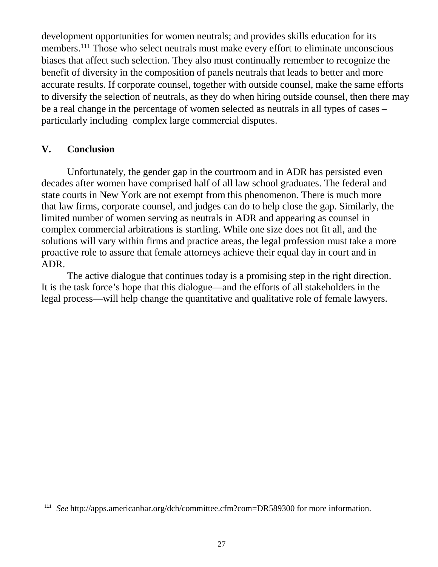development opportunities for women neutrals; and provides skills education for its members.<sup>111</sup> Those who select neutrals must make every effort to eliminate unconscious biases that affect such selection. They also must continually remember to recognize the benefit of diversity in the composition of panels neutrals that leads to better and more accurate results. If corporate counsel, together with outside counsel, make the same efforts to diversify the selection of neutrals, as they do when hiring outside counsel, then there may be a real change in the percentage of women selected as neutrals in all types of cases – particularly including complex large commercial disputes.

#### <span id="page-28-0"></span>**V. Conclusion**

Unfortunately, the gender gap in the courtroom and in ADR has persisted even decades after women have comprised half of all law school graduates. The federal and state courts in New York are not exempt from this phenomenon. There is much more that law firms, corporate counsel, and judges can do to help close the gap. Similarly, the limited number of women serving as neutrals in ADR and appearing as counsel in complex commercial arbitrations is startling. While one size does not fit all, and the solutions will vary within firms and practice areas, the legal profession must take a more proactive role to assure that female attorneys achieve their equal day in court and in ADR.

The active dialogue that continues today is a promising step in the right direction. It is the task force's hope that this dialogue—and the efforts of all stakeholders in the legal process—will help change the quantitative and qualitative role of female lawyers.

<sup>&</sup>lt;sup>111</sup> *See* <http://apps.americanbar.org/dch/committee.cfm?com=DR589300> for more information.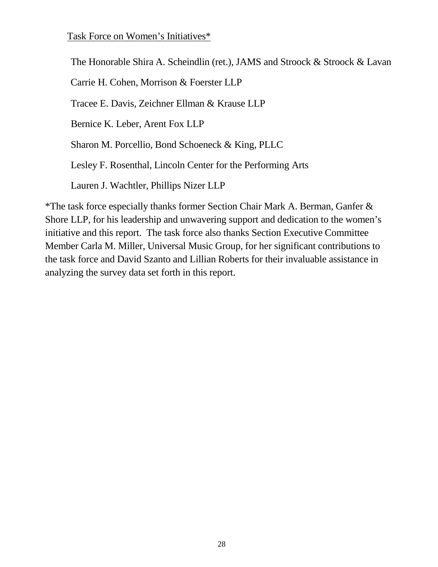Task Force on Women's Initiatives\*

The Honorable Shira A. Scheindlin (ret.), JAMS and Stroock & Stroock & Lavan

Carrie H. Cohen, Morrison & Foerster LLP

Tracee E. Davis, Zeichner Ellman & Krause LLP

Bernice K. Leber, Arent Fox LLP

Sharon M. Porcellio, Bond Schoeneck & King, PLLC

Lesley F. Rosenthal, Lincoln Center for the Performing Arts

Lauren J. Wachtler, Phillips Nizer LLP

\*The task force especially thanks former Section Chair Mark A. Berman, Ganfer & Shore LLP, for his leadership and unwavering support and dedication to the women's initiative and this report. The task force also thanks Section Executive Committee Member Carla M. Miller, Universal Music Group, for her significant contributions to the task force and David Szanto and Lillian Roberts for their invaluable assistance in analyzing the survey data set forth in this report.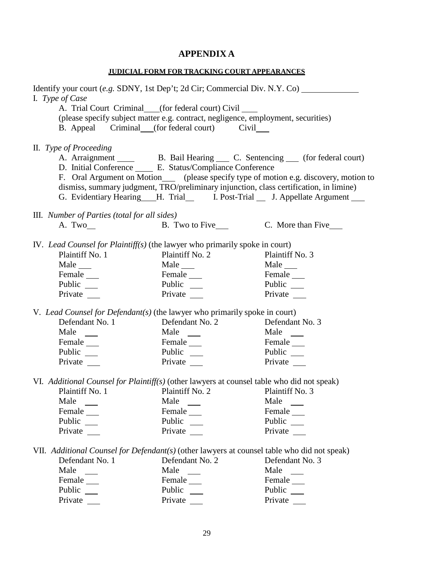# **APPENDIX A**

| <b>JUDICIAL FORM FOR TRACKING COURT APPEARANCES</b>                                                                                                                                                                                                                                                                                                              |                                                                                                                                                                                        |                                                                                                                                                                                                                                                        |  |
|------------------------------------------------------------------------------------------------------------------------------------------------------------------------------------------------------------------------------------------------------------------------------------------------------------------------------------------------------------------|----------------------------------------------------------------------------------------------------------------------------------------------------------------------------------------|--------------------------------------------------------------------------------------------------------------------------------------------------------------------------------------------------------------------------------------------------------|--|
| Identify your court (e.g. SDNY, 1st Dep't; 2d Cir; Commercial Div. N.Y. Co)<br>I. Type of Case                                                                                                                                                                                                                                                                   | A. Trial Court Criminal (for federal court) Civil<br>(please specify subject matter e.g. contract, negligence, employment, securities)<br>B. Appeal Criminal (for federal court) Civil |                                                                                                                                                                                                                                                        |  |
| II. Type of Proceeding                                                                                                                                                                                                                                                                                                                                           | dismiss, summary judgment, TRO/preliminary injunction, class certification, in limine)                                                                                                 | A. Arraignment ______ B. Bail Hearing _____ C. Sentencing _____ (for federal court)<br>F. Oral Argument on Motion_____ (please specify type of motion e.g. discovery, motion to<br>G. Evidentiary Hearing H. Trial I. Post-Trial J. Appellate Argument |  |
| III. Number of Parties (total for all sides)                                                                                                                                                                                                                                                                                                                     |                                                                                                                                                                                        |                                                                                                                                                                                                                                                        |  |
| A. Two $\_\_$                                                                                                                                                                                                                                                                                                                                                    |                                                                                                                                                                                        |                                                                                                                                                                                                                                                        |  |
| IV. Lead Counsel for Plaintiff(s) (the lawyer who primarily spoke in court)<br>Plaintiff No. 1<br>Male $\_\_$<br>Public __<br>Private<br>V. Lead Counsel for Defendant(s) (the lawyer who primarily spoke in court)<br>Defendant No. 1<br>Male<br>Female ______<br>Public __                                                                                     | Plaintiff No. 2<br>$Male$ <sub><math>\_\_</math></sub><br>Public $\frac{ }{ }$<br>Private<br>Defendant No. 2<br>Male<br>Female ______<br>Private ______                                | Plaintiff No. 3<br>Male ______<br>Public<br>Private<br>Defendant No. 3<br>Male<br>Female ______<br>Public __<br>Private __                                                                                                                             |  |
| VI. Additional Counsel for Plaintiff(s) (other lawyers at counsel table who did not speak)<br>Plaintiff No. 1<br>Male<br>$\sim 10^{11}$<br>Female<br>Public __<br>Private<br>VII. Additional Counsel for Defendant(s) (other lawyers at counsel table who did not speak)<br>Defendant No. 1<br>Male<br>$\frac{1}{2}$<br>Female ______<br>Public __<br>Private __ | Plaintiff No. 2<br>Male<br>Female<br>Public __<br>Private<br>Defendant No. 2<br>Male $\qquad$<br>Female ______<br>Public<br>Private __                                                 | Plaintiff No. 3<br>Male<br>$\sim$ 100 $\mu$<br>Female<br>Public __<br>Private<br>Defendant No. 3<br>Male $\qquad \qquad$<br>Female ______<br>Public __<br>Private __                                                                                   |  |
|                                                                                                                                                                                                                                                                                                                                                                  |                                                                                                                                                                                        |                                                                                                                                                                                                                                                        |  |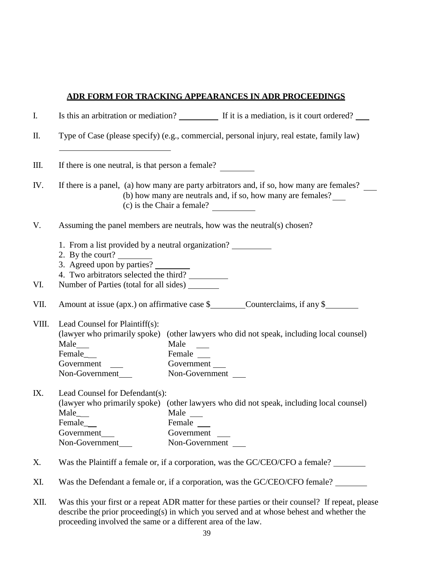#### **ADR FORM FOR TRACKING APPEARANCES IN ADR PROCEEDINGS**

| Ι.         |                                                                                                                                                                                                   |                                                | Is this an arbitration or mediation? If it is a mediation, is it court ordered?         |  |
|------------|---------------------------------------------------------------------------------------------------------------------------------------------------------------------------------------------------|------------------------------------------------|-----------------------------------------------------------------------------------------|--|
| $\rm{II}.$ | Type of Case (please specify) (e.g., commercial, personal injury, real estate, family law)                                                                                                        |                                                |                                                                                         |  |
| Ш.         | If there is one neutral, is that person a female?                                                                                                                                                 |                                                |                                                                                         |  |
| IV.        | If there is a panel, (a) how many are party arbitrators and, if so, how many are females?<br>(b) how many are neutrals and, if so, how many are females?<br>(c) is the Chair a female?            |                                                |                                                                                         |  |
| V.         | Assuming the panel members are neutrals, how was the neutral(s) chosen?                                                                                                                           |                                                |                                                                                         |  |
| VI.        | 1. From a list provided by a neutral organization?<br>2. By the court?<br>3. Agreed upon by parties?<br>4. Two arbitrators selected the third?<br>Number of Parties (total for all sides) _______ |                                                |                                                                                         |  |
|            |                                                                                                                                                                                                   |                                                |                                                                                         |  |
| VII.       |                                                                                                                                                                                                   |                                                | Amount at issue (apx.) on affirmative case \$<br>Counterclaims, if any \$               |  |
| VIII.      | Lead Counsel for Plaintiff(s):<br>Male<br>Female_<br>Government<br>Non-Government                                                                                                                 | Male<br>Non-Government                         | (lawyer who primarily spoke) (other lawyers who did not speak, including local counsel) |  |
| IX.        | Lead Counsel for Defendant(s):<br>Male_<br>Female_<br>Government<br>Non-Government                                                                                                                | Male<br>Female<br>Government<br>Non-Government | (lawyer who primarily spoke) (other lawyers who did not speak, including local counsel) |  |
| Х.         |                                                                                                                                                                                                   |                                                | Was the Plaintiff a female or, if a corporation, was the GC/CEO/CFO a female?           |  |
| XI.        |                                                                                                                                                                                                   |                                                | Was the Defendant a female or, if a corporation, was the GC/CEO/CFO female?             |  |

XII. Was this your first or a repeat ADR matter for these parties or their counsel? If repeat, please describe the prior proceeding(s) in which you served and at whose behest and whether the proceeding involved the same or a different area of the law.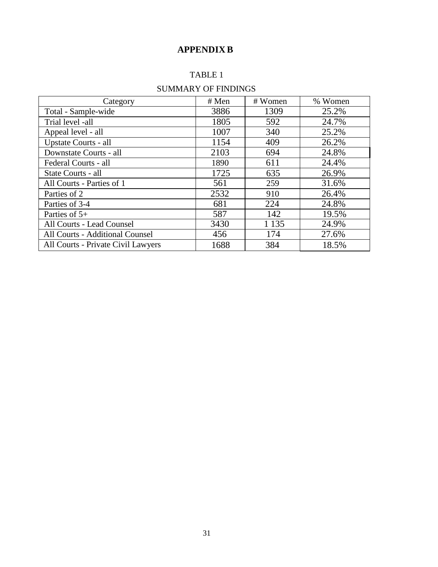## **APPENDIX B**

#### TABLE 1

### SUMMARY OF FINDINGS

| Category                           | # Men | # Women | % Women |
|------------------------------------|-------|---------|---------|
| Total - Sample-wide                | 3886  | 1309    | 25.2%   |
| Trial level -all                   | 1805  | 592     | 24.7%   |
| Appeal level - all                 | 1007  | 340     | 25.2%   |
| Upstate Courts - all               | 1154  | 409     | 26.2%   |
| Downstate Courts - all             | 2103  | 694     | 24.8%   |
| Federal Courts - all               | 1890  | 611     | 24.4%   |
| State Courts - all                 | 1725  | 635     | 26.9%   |
| All Courts - Parties of 1          | 561   | 259     | 31.6%   |
| Parties of 2                       | 2532  | 910     | 26.4%   |
| Parties of 3-4                     | 681   | 224     | 24.8%   |
| Parties of $5+$                    | 587   | 142     | 19.5%   |
| All Courts - Lead Counsel          | 3430  | 1 1 3 5 | 24.9%   |
| All Courts - Additional Counsel    | 456   | 174     | 27.6%   |
| All Courts - Private Civil Lawyers | 1688  | 384     | 18.5%   |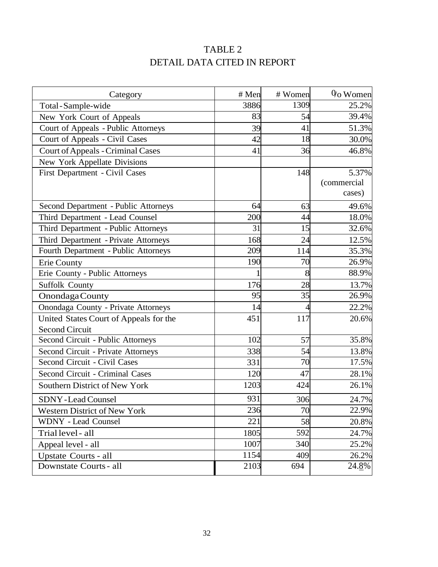# TABLE 2 DETAIL DATA CITED IN REPORT

| Category                                  | # Men | # Women         | $0o$ Women  |
|-------------------------------------------|-------|-----------------|-------------|
| Total - Sample-wide                       | 3886  | 1309            | 25.2%       |
| New York Court of Appeals                 | 83    | 54              | 39.4%       |
| Court of Appeals - Public Attorneys       | 39    | 41              | 51.3%       |
| Court of Appeals - Civil Cases            | 42    | 18              | 30.0%       |
| <b>Court of Appeals - Criminal Cases</b>  | 41    | 36              | 46.8%       |
| New York Appellate Divisions              |       |                 |             |
| First Department - Civil Cases            |       | 148             | 5.37%       |
|                                           |       |                 | (commercial |
|                                           |       |                 | cases)      |
| Second Department - Public Attorneys      | 64    | 63              | 49.6%       |
| Third Department - Lead Counsel           | 200   | 44              | 18.0%       |
| Third Department - Public Attorneys       | 31    | 15              | 32.6%       |
| Third Department - Private Attorneys      | 168   | 24              | 12.5%       |
| Fourth Department - Public Attorneys      | 209   | 114             | 35.3%       |
| <b>Erie County</b>                        | 190   | 70              | 26.9%       |
| Erie County - Public Attorneys            |       | 8               | 88.9%       |
| <b>Suffolk County</b>                     | 176   | 28              | 13.7%       |
| Onondaga County                           | 95    | 35              | 26.9%       |
| Onondaga County - Private Attorneys       | 14    |                 | 22.2%       |
| United States Court of Appeals for the    | 451   | 117             | 20.6%       |
| <b>Second Circuit</b>                     |       |                 |             |
| Second Circuit - Public Attorneys         | 102   | 57              | 35.8%       |
| <b>Second Circuit - Private Attorneys</b> | 338   | 54              | 13.8%       |
| Second Circuit - Civil Cases              | 331   | $\overline{70}$ | 17.5%       |
| Second Circuit - Criminal Cases           | 120   | 47              | 28.1%       |
| Southern District of New York             | 1203  | 424             | 26.1%       |
| <b>SDNY-Lead Counsel</b>                  | 931   | 306             | 24.7%       |
| <b>Western District of New York</b>       | 236   | 70              | 22.9%       |
| <b>WDNY</b> - Lead Counsel                | 221   | 58              | 20.8%       |
| Trial level - all                         | 1805  | 592             | 24.7%       |
| Appeal level - all                        | 1007  | 340             | 25.2%       |
| Upstate Courts - all                      | 1154  | 409             | 26.2%       |
| Downstate Courts - all                    | 2103  | 694             | 24.8%       |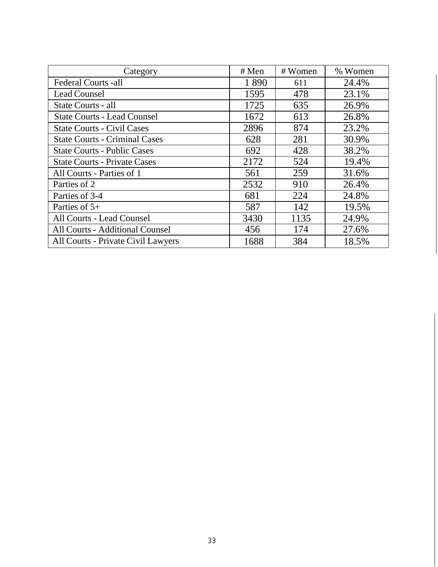| Category                               | # Men | # Women | % Women |
|----------------------------------------|-------|---------|---------|
| Federal Courts -all                    | 1890  | 611     | 24.4%   |
| <b>Lead Counsel</b>                    | 1595  | 478     | 23.1%   |
| State Courts - all                     | 1725  | 635     | 26.9%   |
| <b>State Courts - Lead Counsel</b>     | 1672  | 613     | 26.8%   |
| <b>State Courts - Civil Cases</b>      | 2896  | 874     | 23.2%   |
| <b>State Courts - Criminal Cases</b>   | 628   | 281     | 30.9%   |
| <b>State Courts - Public Cases</b>     | 692   | 428     | 38.2%   |
| <b>State Courts - Private Cases</b>    | 2172  | 524     | 19.4%   |
| All Courts - Parties of 1              | 561   | 259     | 31.6%   |
| Parties of 2                           | 2532  | 910     | 26.4%   |
| Parties of 3-4                         | 681   | 224     | 24.8%   |
| Parties of $5+$                        | 587   | 142     | 19.5%   |
| All Courts - Lead Counsel              | 3430  | 1135    | 24.9%   |
| <b>All Courts - Additional Counsel</b> | 456   | 174     | 27.6%   |
| All Courts - Private Civil Lawyers     | 1688  | 384     | 18.5%   |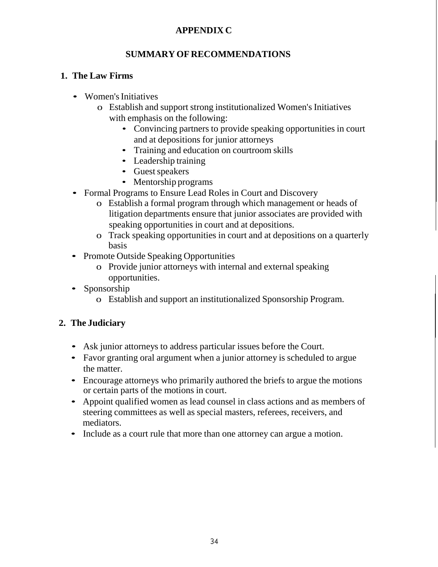#### **APPENDIX C**

#### **SUMMARY OF RECOMMENDATIONS**

#### **1. The Law Firms**

- Women's Initiatives
	- o Establish and support strong institutionalized Women's Initiatives with emphasis on the following:
		- Convincing partners to provide speaking opportunities in court and at depositions for junior attorneys
		- Training and education on courtroom skills
		- Leadership training
		- Guest speakers
		- Mentorship programs
- Formal Programs to Ensure Lead Roles in Court and Discovery
	- o Establish a formal program through which management or heads of litigation departments ensure that junior associates are provided with speaking opportunities in court and at depositions.
	- o Track speaking opportunities in court and at depositions on a quarterly basis
- Promote Outside Speaking Opportunities
	- o Provide junior attorneys with internal and external speaking opportunities.
- Sponsorship
	- o Establish and support an institutionalized Sponsorship Program.

#### **2. The Judiciary**

- Ask junior attorneys to address particular issues before the Court.
- Favor granting oral argument when a junior attorney is scheduled to argue the matter.
- Encourage attorneys who primarily authored the briefs to argue the motions or certain parts of the motions in court.
- Appoint qualified women as lead counsel in class actions and as members of steering committees as well as special masters, referees, receivers, and mediators.
- Include as a court rule that more than one attorney can argue a motion.